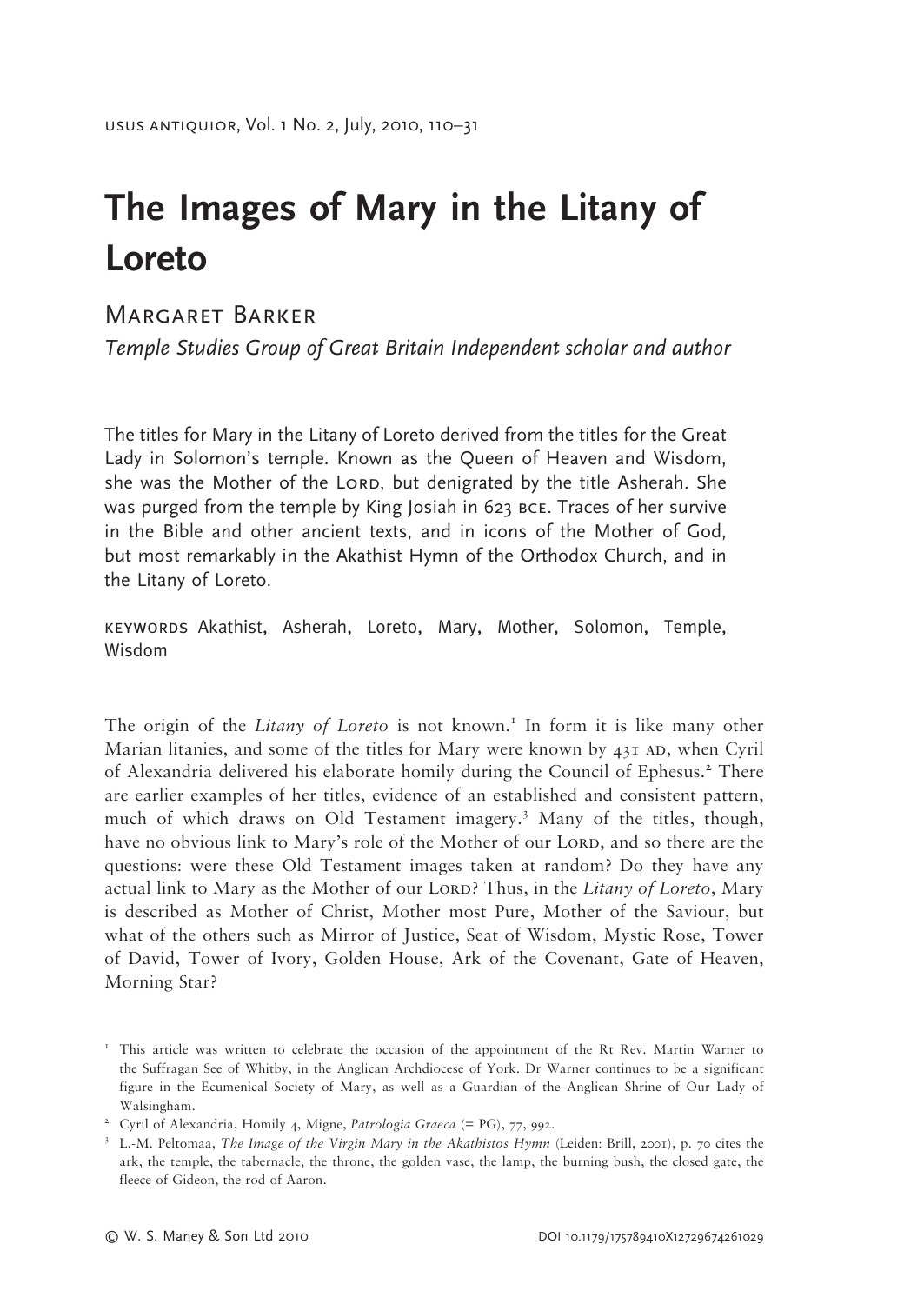## **The Images of Mary in the Litany of Loreto**

## Margaret Barker

*Temple Studies Group of Great Britain Independent scholar and author*

The titles for Mary in the Litany of Loreto derived from the titles for the Great Lady in Solomon's temple. Known as the Queen of Heaven and Wisdom, she was the Mother of the Lorp, but denigrated by the title Asherah. She was purged from the temple by King Josiah in 623 bce. Traces of her survive in the Bible and other ancient texts, and in icons of the Mother of God, but most remarkably in the Akathist Hymn of the Orthodox Church, and in the Litany of Loreto.

keywords Akathist, Asherah, Loreto, Mary, Mother, Solomon, Temple, Wisdom

The origin of the *Litany of Loreto* is not known.<sup>1</sup> In form it is like many other Marian litanies, and some of the titles for Mary were known by  $43I$  AD, when Cyril of Alexandria delivered his elaborate homily during the Council of Ephesus.<sup>2</sup> There are earlier examples of her titles, evidence of an established and consistent pattern, much of which draws on Old Testament imagery.<sup>3</sup> Many of the titles, though, have no obvious link to Mary's role of the Mother of our LORD, and so there are the questions: were these Old Testament images taken at random? Do they have any actual link to Mary as the Mother of our Lord? Thus, in the *Litany of Loreto*, Mary is described as Mother of Christ, Mother most Pure, Mother of the Saviour, but what of the others such as Mirror of Justice, Seat of Wisdom, Mystic Rose, Tower of David, Tower of Ivory, Golden House, Ark of the Covenant, Gate of Heaven, Morning Star?

<sup>&</sup>lt;sup>1</sup> This article was written to celebrate the occasion of the appointment of the Rt Rev. Martin Warner to the Suffragan See of Whitby, in the Anglican Archdiocese of York. Dr Warner continues to be a significant figure in the Ecumenical Society of Mary, as well as a Guardian of the Anglican Shrine of Our Lady of Walsingham.

<sup>&</sup>lt;sup>2</sup> Cyril of Alexandria, Homily 4, Migne, *Patrologia Graeca* (= PG), 77, 992.

<sup>3</sup> L.-M. Peltomaa, *The Image of the Virgin Mary in the Akathistos Hymn* (Leiden: Brill, 2001), p. 70 cites the ark, the temple, the tabernacle, the throne, the golden vase, the lamp, the burning bush, the closed gate, the fleece of Gideon, the rod of Aaron.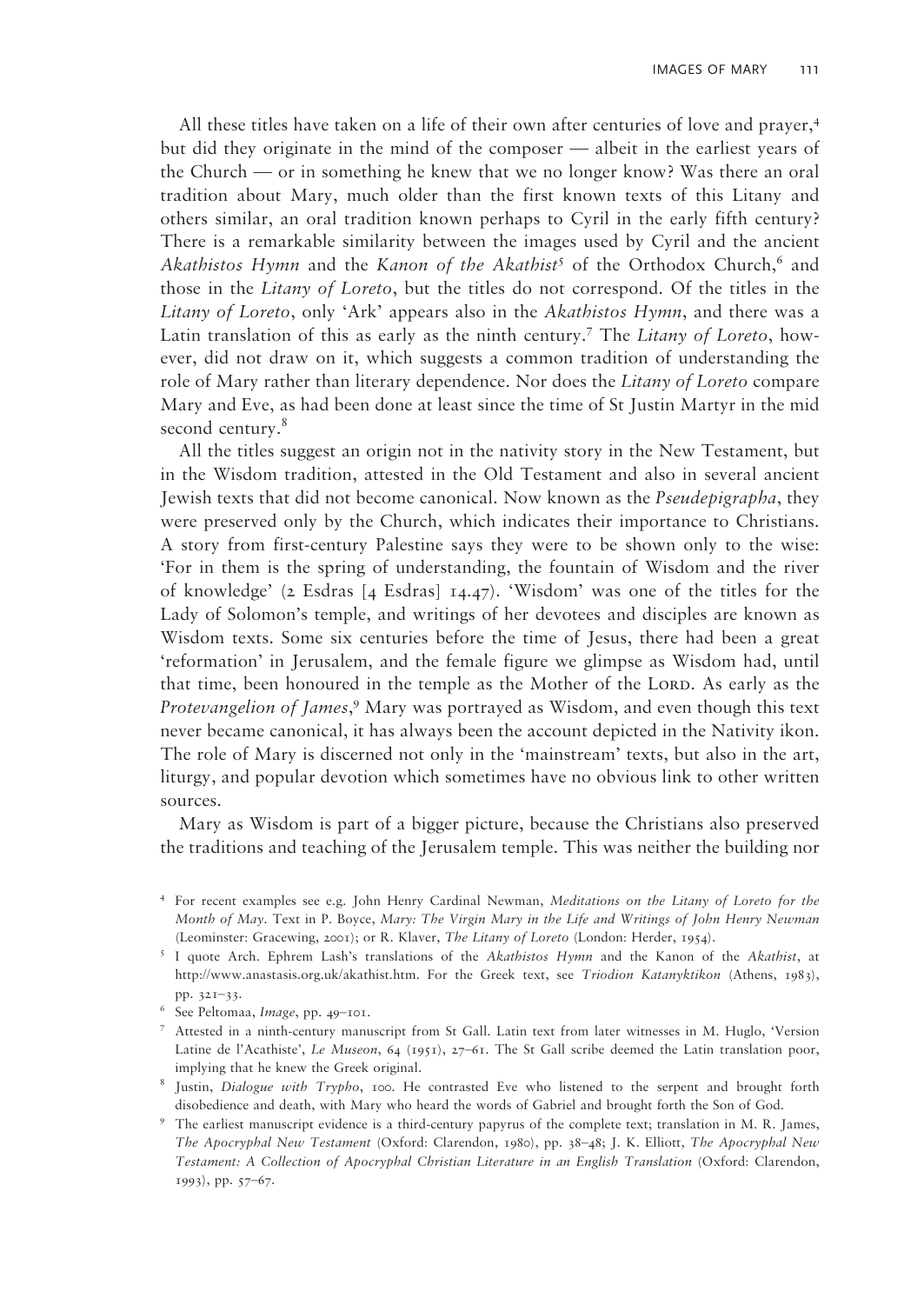All these titles have taken on a life of their own after centuries of love and prayer,<sup>4</sup> but did they originate in the mind of the composer — albeit in the earliest years of the Church — or in something he knew that we no longer know? Was there an oral tradition about Mary, much older than the first known texts of this Litany and others similar, an oral tradition known perhaps to Cyril in the early fifth century? There is a remarkable similarity between the images used by Cyril and the ancient Akathistos Hymn and the *Kanon of the Akathist<sup>5</sup>* of the Orthodox Church,<sup>6</sup> and those in the *Litany of Loreto*, but the titles do not correspond. Of the titles in the *Litany of Loreto*, only 'Ark' appears also in the *Akathistos Hymn*, and there was a Latin translation of this as early as the ninth century.7 The *Litany of Loreto*, however, did not draw on it, which suggests a common tradition of understanding the role of Mary rather than literary dependence. Nor does the *Litany of Loreto* compare Mary and Eve, as had been done at least since the time of St Justin Martyr in the mid second century.<sup>8</sup>

All the titles suggest an origin not in the nativity story in the New Testament, but in the Wisdom tradition, attested in the Old Testament and also in several ancient Jewish texts that did not become canonical. Now known as the *Pseudepigrapha*, they were preserved only by the Church, which indicates their importance to Christians. A story from first-century Palestine says they were to be shown only to the wise: 'For in them is the spring of understanding, the fountain of Wisdom and the river of knowledge' (2 Esdras [4 Esdras] 14.47). 'Wisdom' was one of the titles for the Lady of Solomon's temple, and writings of her devotees and disciples are known as Wisdom texts. Some six centuries before the time of Jesus, there had been a great 'reformation' in Jerusalem, and the female figure we glimpse as Wisdom had, until that time, been honoured in the temple as the Mother of the Lord. As early as the Protevangelion of James,<sup>9</sup> Mary was portrayed as Wisdom, and even though this text never became canonical, it has always been the account depicted in the Nativity ikon. The role of Mary is discerned not only in the 'mainstream' texts, but also in the art, liturgy, and popular devotion which sometimes have no obvious link to other written sources.

Mary as Wisdom is part of a bigger picture, because the Christians also preserved the traditions and teaching of the Jerusalem temple. This was neither the building nor

- 4 For recent examples see e.g. John Henry Cardinal Newman, *Meditations on the Litany of Loreto for the Month of May*. Text in P. Boyce, *Mary: The Virgin Mary in the Life and Writings of John Henry Newman* (Leominster: Gracewing, 2001); or R. Klaver, *The Litany of Loreto* (London: Herder, 1954).
- 5 I quote Arch. Ephrem Lash's translations of the *Akathistos Hymn* and the Kanon of the *Akathist*, at http://www.anastasis.org.uk/akathist.htm. For the Greek text, see *Triodion Katanyktikon* (Athens, 1983),
- pp. 321–33. 6 See Peltomaa, *Image*, pp. 49–101.
- 7 Attested in a ninth-century manuscript from St Gall. Latin text from later witnesses in M. Huglo, 'Version Latine de l'Acathiste', *Le Museon*, 64 (1951), 27–61. The St Gall scribe deemed the Latin translation poor,
- implying that he knew the Greek original. 8 Justin, *Dialogue with Trypho*, 100. He contrasted Eve who listened to the serpent and brought forth disobedience and death, with Mary who heard the words of Gabriel and brought forth the Son of God. 9 The earliest manuscript evidence is a third-century papyrus of the complete text; translation in M. R. James,
- *The Apocryphal New Testament* (Oxford: Clarendon, 1980), pp. 38–48; J. K. Elliott, *The Apocryphal New Testament: A Collection of Apocryphal Christian Literature in an English Translation* (Oxford: Clarendon, 1993), pp. 57–67.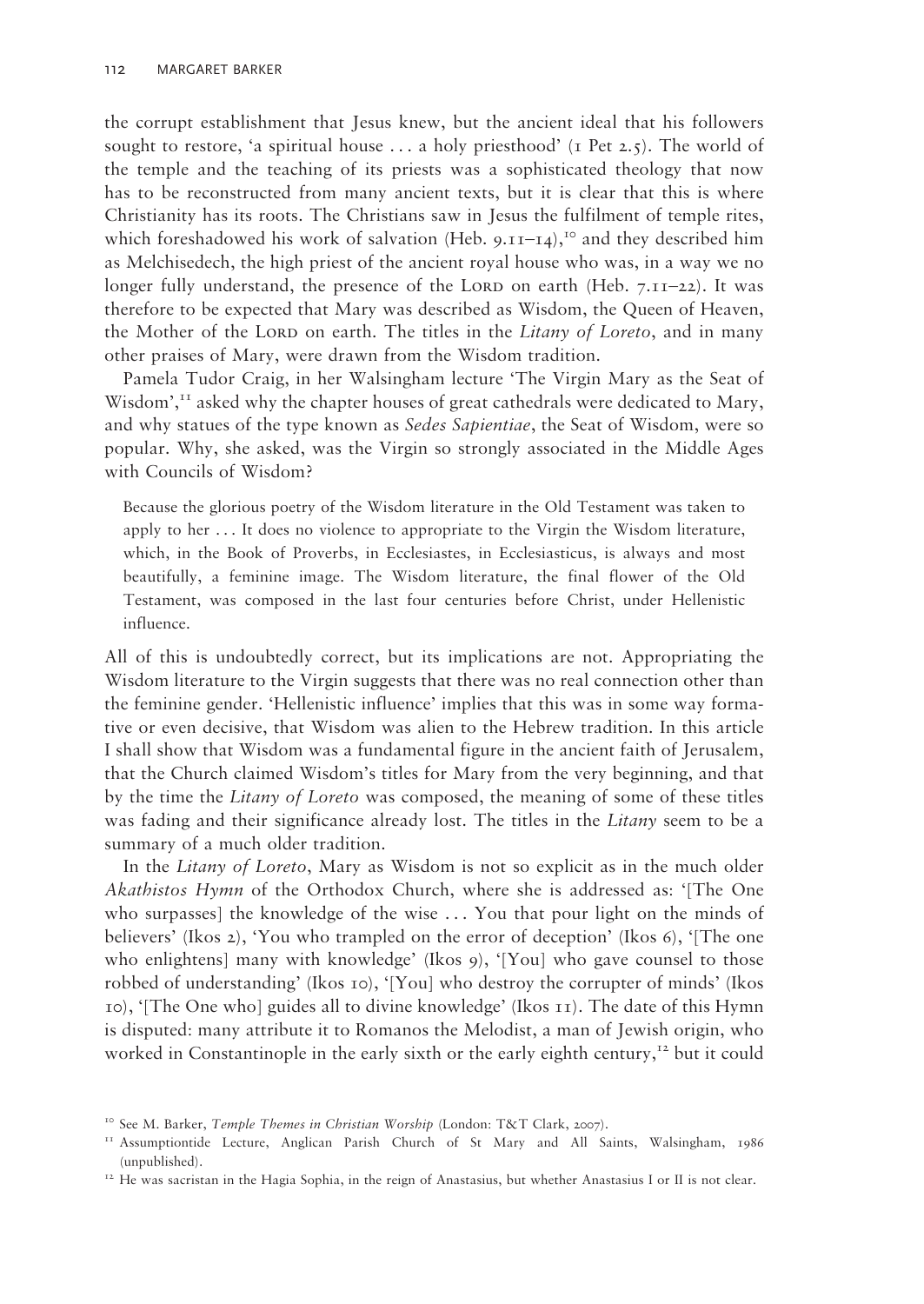the corrupt establishment that Jesus knew, but the ancient ideal that his followers sought to restore, 'a spiritual house ... a holy priesthood' (1 Pet 2.5). The world of the temple and the teaching of its priests was a sophisticated theology that now has to be reconstructed from many ancient texts, but it is clear that this is where Christianity has its roots. The Christians saw in Jesus the fulfilment of temple rites, which foreshadowed his work of salvation (Heb.  $9.11-14$ ),<sup>10</sup> and they described him as Melchisedech, the high priest of the ancient royal house who was, in a way we no longer fully understand, the presence of the LORD on earth (Heb.  $7.11-22$ ). It was therefore to be expected that Mary was described as Wisdom, the Queen of Heaven, the Mother of the Lorp on earth. The titles in the *Litany of Loreto*, and in many other praises of Mary, were drawn from the Wisdom tradition.

Pamela Tudor Craig, in her Walsingham lecture 'The Virgin Mary as the Seat of Wisdom', $<sup>T</sup>$  asked why the chapter houses of great cathedrals were dedicated to Mary,</sup> and why statues of the type known as *Sedes Sapientiae*, the Seat of Wisdom, were so popular. Why, she asked, was the Virgin so strongly associated in the Middle Ages with Councils of Wisdom?

Because the glorious poetry of the Wisdom literature in the Old Testament was taken to apply to her . . . It does no violence to appropriate to the Virgin the Wisdom literature, which, in the Book of Proverbs, in Ecclesiastes, in Ecclesiasticus, is always and most beautifully, a feminine image. The Wisdom literature, the final flower of the Old Testament, was composed in the last four centuries before Christ, under Hellenistic influence.

All of this is undoubtedly correct, but its implications are not. Appropriating the Wisdom literature to the Virgin suggests that there was no real connection other than the feminine gender. 'Hellenistic influence' implies that this was in some way formative or even decisive, that Wisdom was alien to the Hebrew tradition. In this article I shall show that Wisdom was a fundamental figure in the ancient faith of Jerusalem, that the Church claimed Wisdom's titles for Mary from the very beginning, and that by the time the *Litany of Loreto* was composed, the meaning of some of these titles was fading and their significance already lost. The titles in the *Litany* seem to be a summary of a much older tradition.

In the *Litany of Loreto*, Mary as Wisdom is not so explicit as in the much older *Akathistos Hymn* of the Orthodox Church, where she is addressed as: '[The One who surpasses] the knowledge of the wise . . . You that pour light on the minds of believers' (Ikos 2), 'You who trampled on the error of deception' (Ikos 6), '[The one who enlightens] many with knowledge' (Ikos 9), '[You] who gave counsel to those robbed of understanding' (Ikos 10), '[You] who destroy the corrupter of minds' (Ikos 10), '[The One who] guides all to divine knowledge' (Ikos 11). The date of this Hymn is disputed: many attribute it to Romanos the Melodist, a man of Jewish origin, who worked in Constantinople in the early sixth or the early eighth century,<sup>12</sup> but it could

<sup>&</sup>lt;sup>10</sup> See M. Barker, *Temple Themes in Christian Worship* (London: T&T Clark, 2007).

<sup>11</sup> Assumptiontide Lecture, Anglican Parish Church of St Mary and All Saints, Walsingham, 1986 (unpublished).

<sup>&</sup>lt;sup>12</sup> He was sacristan in the Hagia Sophia, in the reign of Anastasius, but whether Anastasius I or II is not clear.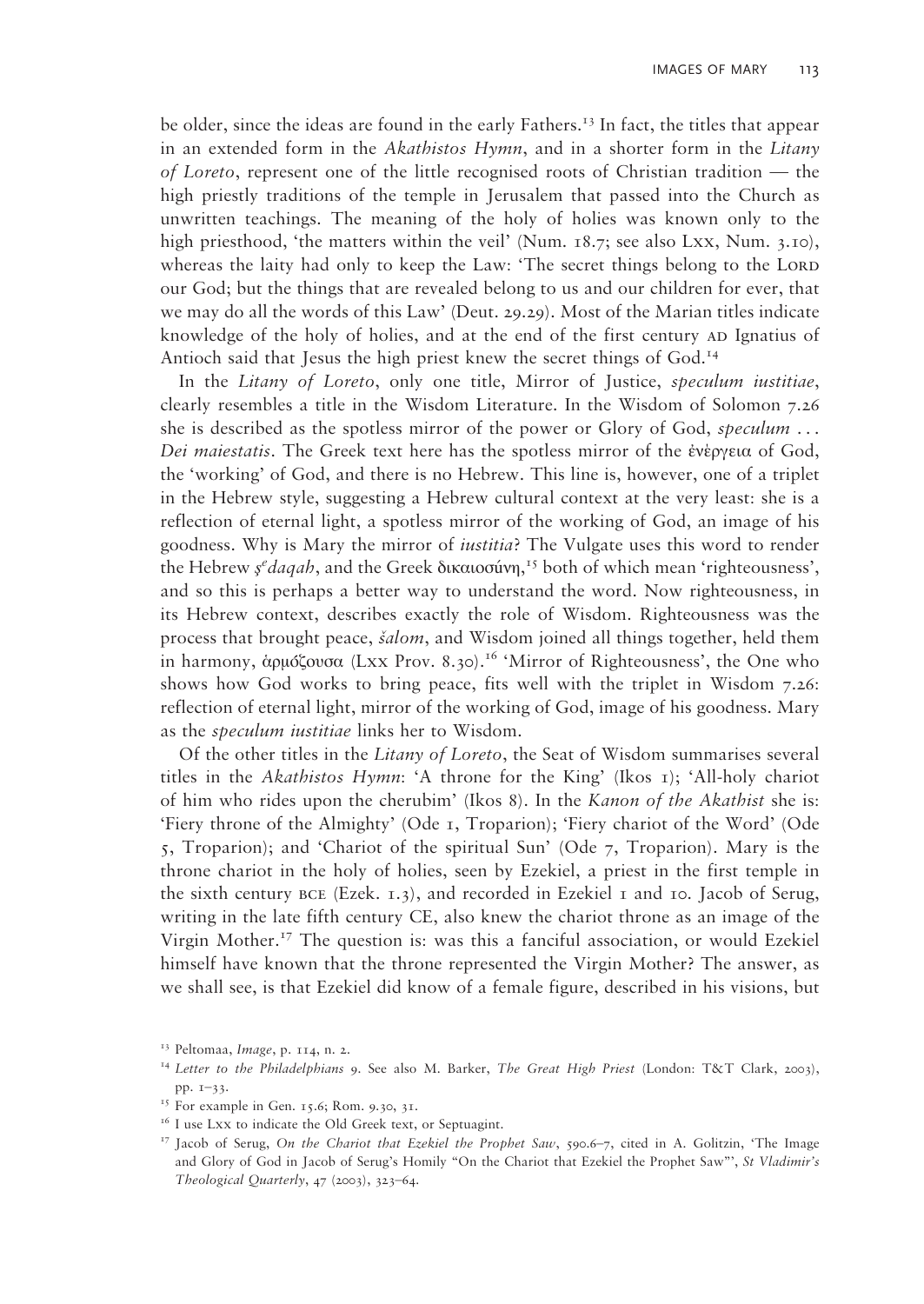be older, since the ideas are found in the early Fathers.<sup>13</sup> In fact, the titles that appear in an extended form in the *Akathistos Hymn*, and in a shorter form in the *Litany of Loreto*, represent one of the little recognised roots of Christian tradition — the high priestly traditions of the temple in Jerusalem that passed into the Church as unwritten teachings. The meaning of the holy of holies was known only to the high priesthood, 'the matters within the veil' (Num. 18.7; see also Lxx, Num. 3.10), whereas the laity had only to keep the Law: 'The secret things belong to the LORD our God; but the things that are revealed belong to us and our children for ever, that we may do all the words of this Law' (Deut. 29.29). Most of the Marian titles indicate knowledge of the holy of holies, and at the end of the first century AD Ignatius of Antioch said that Jesus the high priest knew the secret things of God.<sup>14</sup>

In the *Litany of Loreto*, only one title, Mirror of Justice, *speculum iustitiae*, clearly resembles a title in the Wisdom Literature. In the Wisdom of Solomon 7.26 she is described as the spotless mirror of the power or Glory of God, *speculum* ... *Dei maiestatis*. The Greek text here has the spotless mirror of the ἐνέργεια of God, the 'working' of God, and there is no Hebrew. This line is, however, one of a triplet in the Hebrew style, suggesting a Hebrew cultural context at the very least: she is a reflection of eternal light, a spotless mirror of the working of God, an image of his goodness. Why is Mary the mirror of *iustitia*? The Vulgate uses this word to render the Hebrew *ş e daqah*, and the Greek δικαιοσúνη, 15 both of which mean 'righteousness', and so this is perhaps a better way to understand the word. Now righteousness, in its Hebrew context, describes exactly the role of Wisdom. Righteousness was the process that brought peace, *šalom*, and Wisdom joined all things together, held them in harmony, ἀρμόζουσα (Lxx Prov. 8.30).<sup>16</sup> 'Mirror of Righteousness', the One who shows how God works to bring peace, fits well with the triplet in Wisdom 7.26: reflection of eternal light, mirror of the working of God, image of his goodness. Mary as the *speculum iustitiae* links her to Wisdom.

Of the other titles in the *Litany of Loreto*, the Seat of Wisdom summarises several titles in the *Akathistos Hymn*: 'A throne for the King' (Ikos 1); 'All-holy chariot of him who rides upon the cherubim' (Ikos 8). In the *Kanon of the Akathist* she is: 'Fiery throne of the Almighty' (Ode 1, Troparion); 'Fiery chariot of the Word' (Ode 5, Troparion); and 'Chariot of the spiritual Sun' (Ode 7, Troparion). Mary is the throne chariot in the holy of holies, seen by Ezekiel, a priest in the first temple in the sixth century  $BCE$  (Ezek. 1.3), and recorded in Ezekiel 1 and 10. Jacob of Serug, writing in the late fifth century CE, also knew the chariot throne as an image of the Virgin Mother.17 The question is: was this a fanciful association, or would Ezekiel himself have known that the throne represented the Virgin Mother? The answer, as we shall see, is that Ezekiel did know of a female figure, described in his visions, but

<sup>&</sup>lt;sup>13</sup> Peltomaa, *Image*, p. 114, n. 2.<br><sup>14</sup> Letter to the Philadelphians 9. See also M. Barker, *The Great High Priest* (London: T&T Clark, 2003), pp. 1–33.

<sup>&</sup>lt;sup>15</sup> For example in Gen. 15.6; Rom. 9.30, 31.

<sup>&</sup>lt;sup>16</sup> I use Lxx to indicate the Old Greek text, or Septuagint.<br><sup>17</sup> Jacob of Serug, *On the Chariot that Ezekiel the Prophet Saw*, 590.6–7, cited in A. Golitzin, 'The Image and Glory of God in Jacob of Serug's Homily "On the Chariot that Ezekiel the Prophet Saw"', *St Vladimir's Theological Quarterly*, 47 (2003), 323–64.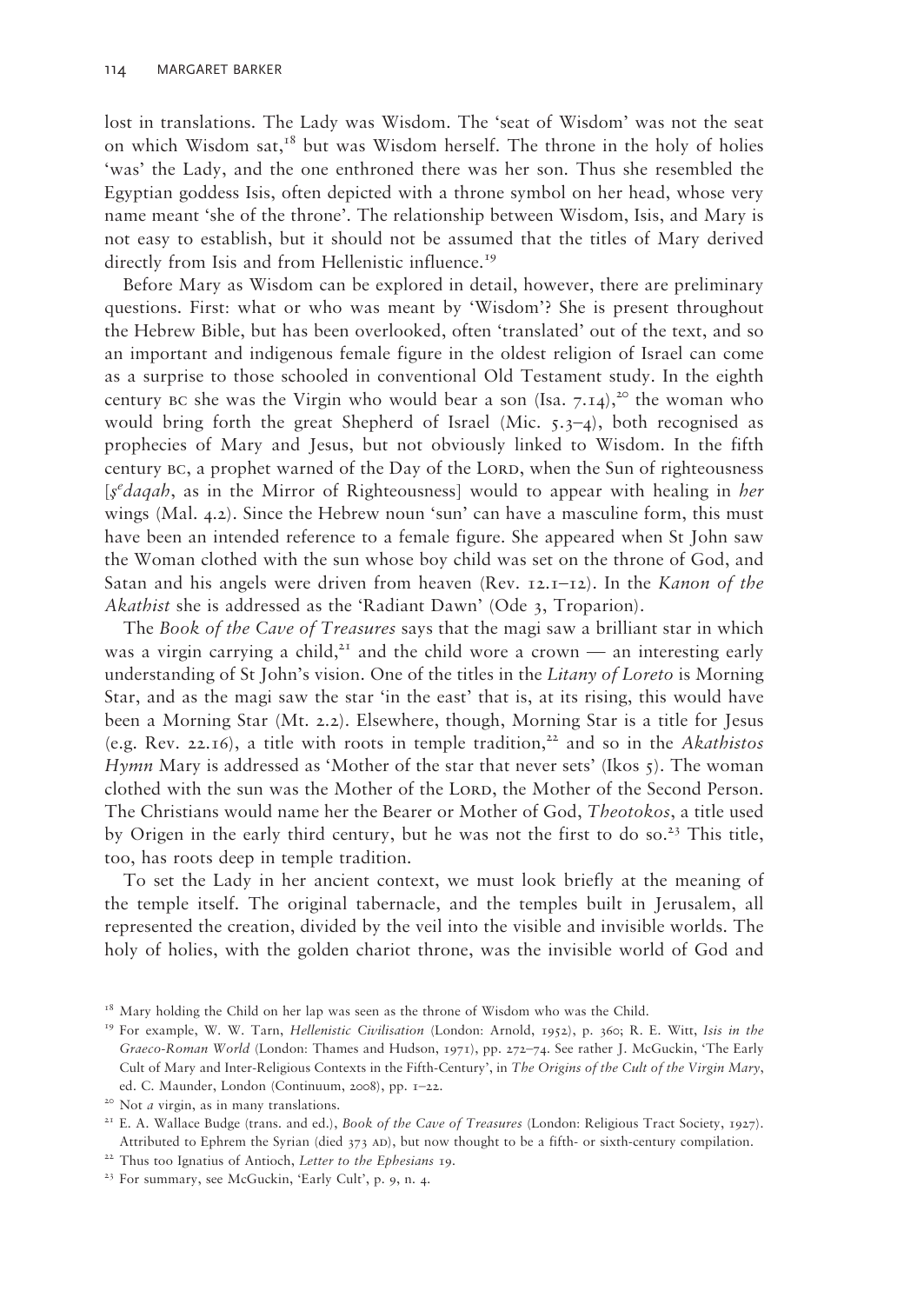lost in translations. The Lady was Wisdom. The 'seat of Wisdom' was not the seat on which Wisdom sat, $18$  but was Wisdom herself. The throne in the holy of holies 'was' the Lady, and the one enthroned there was her son. Thus she resembled the Egyptian goddess Isis, often depicted with a throne symbol on her head, whose very name meant 'she of the throne'. The relationship between Wisdom, Isis, and Mary is not easy to establish, but it should not be assumed that the titles of Mary derived directly from Isis and from Hellenistic influence.<sup>19</sup>

Before Mary as Wisdom can be explored in detail, however, there are preliminary questions. First: what or who was meant by 'Wisdom'? She is present throughout the Hebrew Bible, but has been overlooked, often 'translated' out of the text, and so an important and indigenous female figure in the oldest religion of Israel can come as a surprise to those schooled in conventional Old Testament study. In the eighth century BC she was the Virgin who would bear a son (Isa.  $7.14$ ),<sup>20</sup> the woman who would bring forth the great Shepherd of Israel (Mic.  $5.3-4$ ), both recognised as prophecies of Mary and Jesus, but not obviously linked to Wisdom. In the fifth century BC, a prophet warned of the Day of the LORD, when the Sun of righteousness [*ş e daqah*, as in the Mirror of Righteousness] would to appear with healing in *her* wings (Mal. 4.2). Since the Hebrew noun 'sun' can have a masculine form, this must have been an intended reference to a female figure. She appeared when St John saw the Woman clothed with the sun whose boy child was set on the throne of God, and Satan and his angels were driven from heaven (Rev. 12.1–12). In the *Kanon of the Akathist* she is addressed as the 'Radiant Dawn' (Ode 3, Troparion).

The *Book of the Cave of Treasures* says that the magi saw a brilliant star in which was a virgin carrying a child,<sup>21</sup> and the child wore a crown — an interesting early understanding of St John's vision. One of the titles in the *Litany of Loreto* is Morning Star, and as the magi saw the star 'in the east' that is, at its rising, this would have been a Morning Star (Mt. 2.2). Elsewhere, though, Morning Star is a title for Jesus (e.g. Rev. 22.16), a title with roots in temple tradition,<sup>22</sup> and so in the *Akathistos Hymn* Mary is addressed as 'Mother of the star that never sets' (Ikos 5). The woman clothed with the sun was the Mother of the Lorp, the Mother of the Second Person. The Christians would name her the Bearer or Mother of God, *Theotokos*, a title used by Origen in the early third century, but he was not the first to do so.<sup>23</sup> This title, too, has roots deep in temple tradition.

To set the Lady in her ancient context, we must look briefly at the meaning of the temple itself. The original tabernacle, and the temples built in Jerusalem, all represented the creation, divided by the veil into the visible and invisible worlds. The holy of holies, with the golden chariot throne, was the invisible world of God and

<sup>18</sup> Mary holding the Child on her lap was seen as the throne of Wisdom who was the Child. 19 For example, W. W. Tarn, *Hellenistic Civilisation* (London: Arnold, 1952), p. 360; R. E. Witt, *Isis in the* 

*Graeco-Roman World* (London: Thames and Hudson, 1971), pp. 272–74. See rather J. McGuckin, 'The Early Cult of Mary and Inter-Religious Contexts in the Fifth-Century', in *The Origins of the Cult of the Virgin Mary*, ed. C. Maunder, London (Continuum, 2008), pp. 1–22.

<sup>&</sup>lt;sup>20</sup> Not *a* virgin, as in many translations.<br><sup>21</sup> E. A. Wallace Budge (trans. and ed.), *Book of the Cave of Treasures* (London: Religious Tract Society, 1927). Attributed to Ephrem the Syrian (died 373 AD), but now thought to be a fifth- or sixth-century compilation.

<sup>&</sup>lt;sup>22</sup> Thus too Ignatius of Antioch, *Letter to the Ephesians* 19.<br><sup>23</sup> For summary, see McGuckin, 'Early Cult', p. 9, n. 4.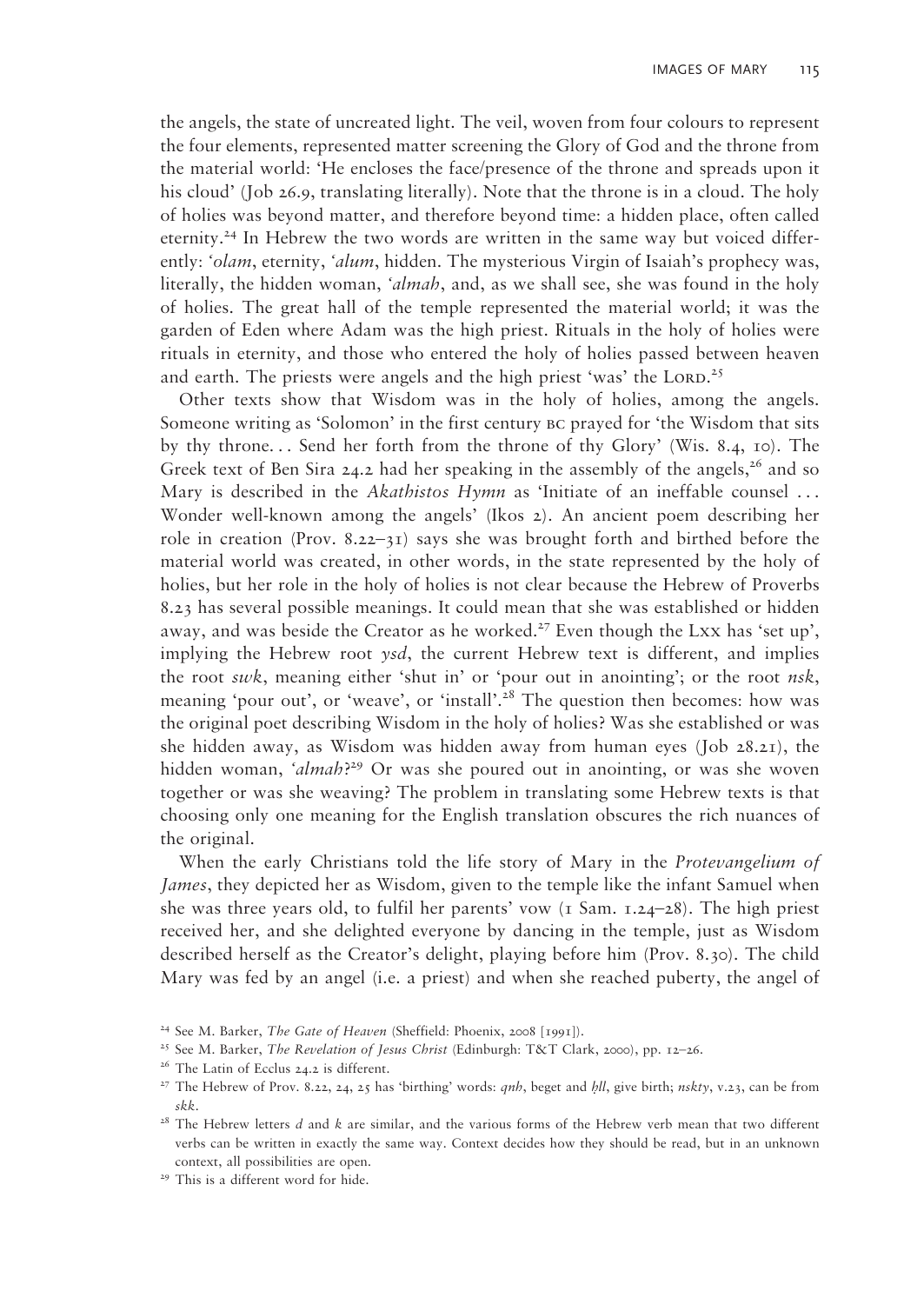the angels, the state of uncreated light. The veil, woven from four colours to represent the four elements, represented matter screening the Glory of God and the throne from the material world: 'He encloses the face/presence of the throne and spreads upon it his cloud' (Job 26.9, translating literally). Note that the throne is in a cloud. The holy of holies was beyond matter, and therefore beyond time: a hidden place, often called eternity.24 In Hebrew the two words are written in the same way but voiced differently: *'olam*, eternity, *'alum*, hidden. The mysterious Virgin of Isaiah's prophecy was, literally, the hidden woman, *'almah*, and, as we shall see, she was found in the holy of holies. The great hall of the temple represented the material world; it was the garden of Eden where Adam was the high priest. Rituals in the holy of holies were rituals in eternity, and those who entered the holy of holies passed between heaven and earth. The priests were angels and the high priest 'was' the LORD.<sup>25</sup>

Other texts show that Wisdom was in the holy of holies, among the angels. Someone writing as 'Solomon' in the first century bc prayed for 'the Wisdom that sits by thy throne. . . Send her forth from the throne of thy Glory' (Wis. 8.4, 10). The Greek text of Ben Sira 24.2 had her speaking in the assembly of the angels,<sup>26</sup> and so Mary is described in the *Akathistos Hymn* as 'Initiate of an ineffable counsel ... Wonder well-known among the angels' (Ikos 2). An ancient poem describing her role in creation (Prov. 8.22–31) says she was brought forth and birthed before the material world was created, in other words, in the state represented by the holy of holies, but her role in the holy of holies is not clear because the Hebrew of Proverbs 8.23 has several possible meanings. It could mean that she was established or hidden away, and was beside the Creator as he worked.<sup>27</sup> Even though the Lxx has 'set up', implying the Hebrew root *ysd*, the current Hebrew text is different, and implies the root *swk*, meaning either 'shut in' or 'pour out in anointing'; or the root *nsk*, meaning 'pour out', or 'weave', or 'install'.<sup>28</sup> The question then becomes: how was the original poet describing Wisdom in the holy of holies? Was she established or was she hidden away, as Wisdom was hidden away from human eyes (Job 28.21), the hidden woman, *'almah*? 29 Or was she poured out in anointing, or was she woven together or was she weaving? The problem in translating some Hebrew texts is that choosing only one meaning for the English translation obscures the rich nuances of the original.

When the early Christians told the life story of Mary in the *Protevangelium of James*, they depicted her as Wisdom, given to the temple like the infant Samuel when she was three years old, to fulfil her parents' vow  $(1 \text{ Sam. } 1.24-28)$ . The high priest received her, and she delighted everyone by dancing in the temple, just as Wisdom described herself as the Creator's delight, playing before him (Prov. 8.30). The child Mary was fed by an angel (i.e. a priest) and when she reached puberty, the angel of

<sup>&</sup>lt;sup>24</sup> See M. Barker, *The Gate of Heaven* (Sheffield: Phoenix, 2008 [1991]).

<sup>25</sup> See M. Barker, *The Revelation of Jesus Christ* (Edinburgh: T&T Clark, 2000), pp. 12–26.

<sup>&</sup>lt;sup>26</sup> The Latin of Ecclus 24.2 is different.<br><sup>27</sup> The Hebrew of Prov. 8.22, 24, 25 has 'birthing' words: *qnh*, beget and *hll*, give birth; *nskty*, v.23, can be from *skk*.

*skk*. 28 The Hebrew letters *d* and *k* are similar, and the various forms of the Hebrew verb mean that two different verbs can be written in exactly the same way. Context decides how they should be read, but in an unknown context, all possibilities are open. 29 This is a different word for hide.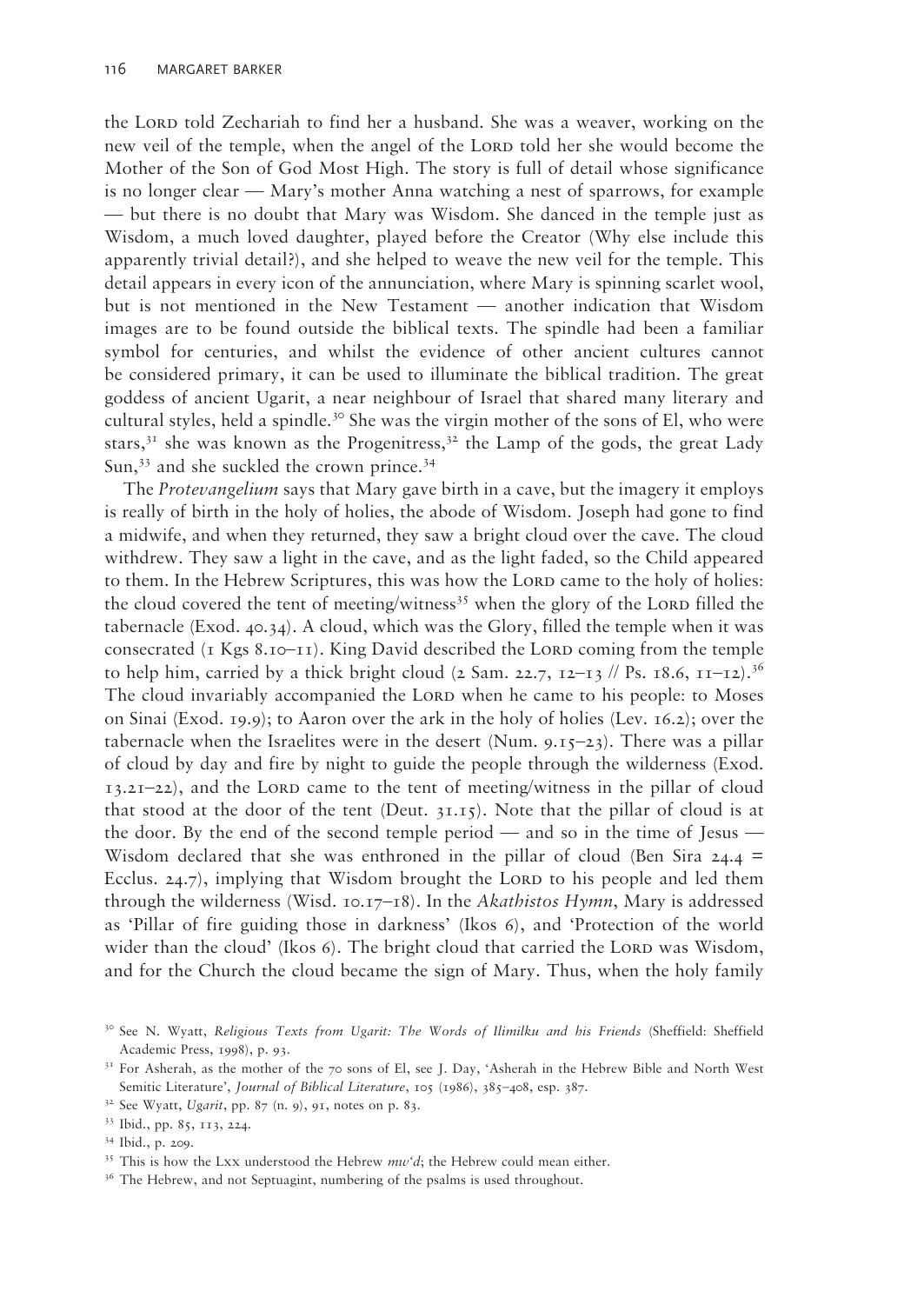the Lord told Zechariah to find her a husband. She was a weaver, working on the new veil of the temple, when the angel of the LORD told her she would become the Mother of the Son of God Most High. The story is full of detail whose significance is no longer clear — Mary's mother Anna watching a nest of sparrows, for example — but there is no doubt that Mary was Wisdom. She danced in the temple just as Wisdom, a much loved daughter, played before the Creator (Why else include this apparently trivial detail?), and she helped to weave the new veil for the temple. This detail appears in every icon of the annunciation, where Mary is spinning scarlet wool, but is not mentioned in the New Testament — another indication that Wisdom images are to be found outside the biblical texts. The spindle had been a familiar symbol for centuries, and whilst the evidence of other ancient cultures cannot be considered primary, it can be used to illuminate the biblical tradition. The great goddess of ancient Ugarit, a near neighbour of Israel that shared many literary and cultural styles, held a spindle.<sup>30</sup> She was the virgin mother of the sons of El, who were stars,<sup>31</sup> she was known as the Progenitress,<sup>32</sup> the Lamp of the gods, the great Lady Sun,<sup>33</sup> and she suckled the crown prince.<sup>34</sup>

The *Protevangelium* says that Mary gave birth in a cave, but the imagery it employs is really of birth in the holy of holies, the abode of Wisdom. Joseph had gone to find a midwife, and when they returned, they saw a bright cloud over the cave. The cloud withdrew. They saw a light in the cave, and as the light faded, so the Child appeared to them. In the Hebrew Scriptures, this was how the LORD came to the holy of holies: the cloud covered the tent of meeting/witness<sup>35</sup> when the glory of the LORD filled the tabernacle (Exod. 40.34). A cloud, which was the Glory, filled the temple when it was consecrated ( $\overline{1}$  Kgs 8.10–11). King David described the LORD coming from the temple to help him, carried by a thick bright cloud (2 Sam. 22.7,  $12-13$  // Ps.  $18.6$ ,  $11-12$ ).<sup>36</sup> The cloud invariably accompanied the LORD when he came to his people: to Moses on Sinai (Exod. 19.9); to Aaron over the ark in the holy of holies (Lev. 16.2); over the tabernacle when the Israelites were in the desert (Num. 9.15–23). There was a pillar of cloud by day and fire by night to guide the people through the wilderness (Exod. 13.21–22), and the Lord came to the tent of meeting/witness in the pillar of cloud that stood at the door of the tent (Deut.  $31.15$ ). Note that the pillar of cloud is at the door. By the end of the second temple period — and so in the time of Jesus — Wisdom declared that she was enthroned in the pillar of cloud (Ben Sira  $24.4 =$ Ecclus. 24.7), implying that Wisdom brought the LORD to his people and led them through the wilderness (Wisd. 10.17–18). In the *Akathistos Hymn*, Mary is addressed as 'Pillar of fire guiding those in darkness' (Ikos 6), and 'Protection of the world wider than the cloud' (Ikos  $6$ ). The bright cloud that carried the LORD was Wisdom, and for the Church the cloud became the sign of Mary. Thus, when the holy family

<sup>&</sup>lt;sup>30</sup> See N. Wyatt, *Religious Texts from Ugarit: The Words of Ilimilku and his Friends* (Sheffield: Sheffield Academic Press, 1998), p. 93.

<sup>&</sup>lt;sup>31</sup> For Asherah, as the mother of the 70 sons of El, see J. Day, 'Asherah in the Hebrew Bible and North West Semitic Literature', *Journal of Biblical Literature*, 105 (1986), 385–408, esp. 387.<br><sup>32</sup> See Wyatt, *Ugarit*, pp. 87 (n. 9), 91, notes on p. 83.<br><sup>33</sup> Ibid., pp. 85, 113, 224.

<sup>34</sup> Ibid., p. 209.

<sup>&</sup>lt;sup>35</sup> This is how the Lxx understood the Hebrew  $mw'd$ ; the Hebrew could mean either.<br><sup>36</sup> The Hebrew, and not Septuagint, numbering of the psalms is used throughout.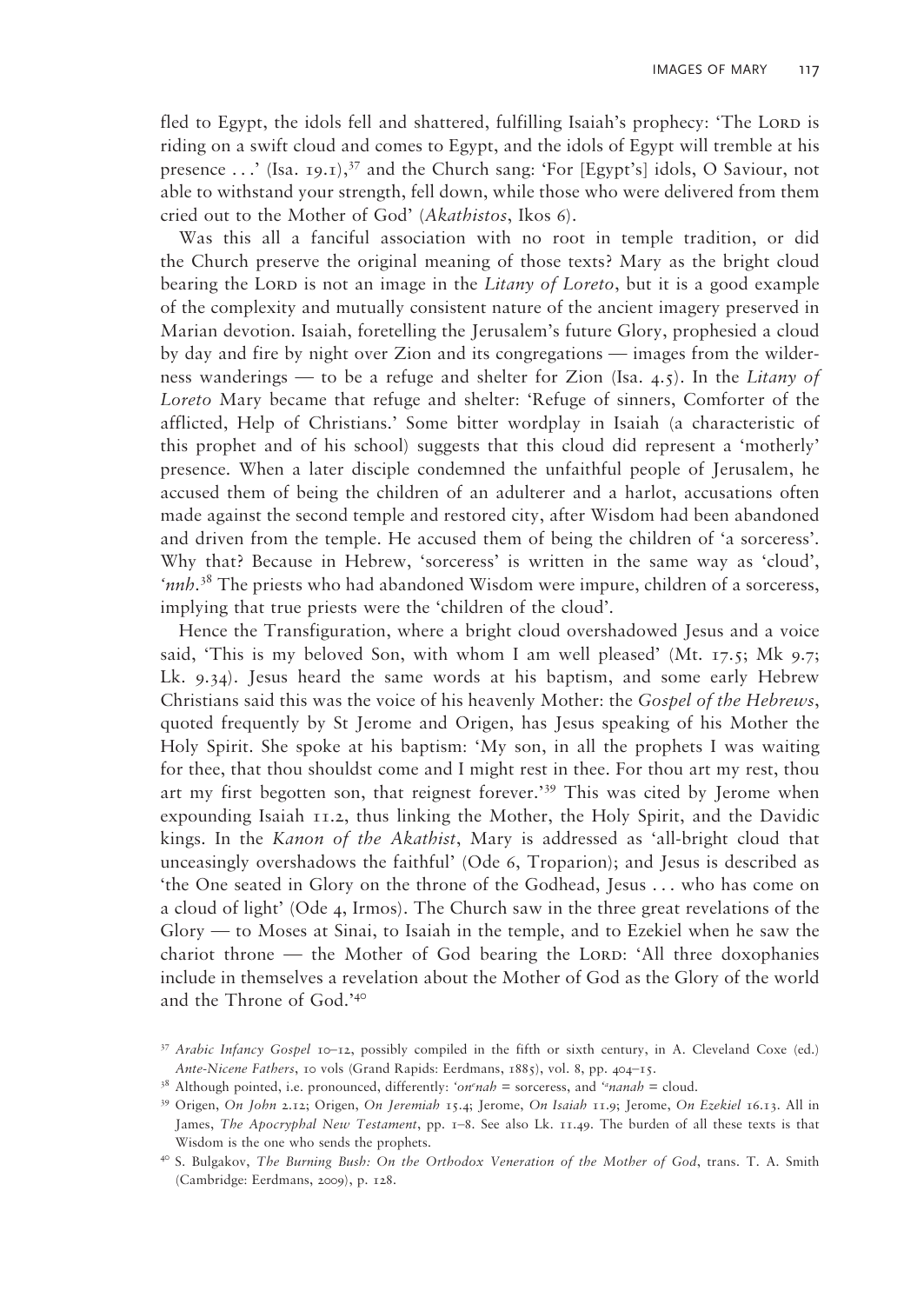fled to Egypt, the idols fell and shattered, fulfilling Isaiah's prophecy: 'The LORD is riding on a swift cloud and comes to Egypt, and the idols of Egypt will tremble at his presence  $\dots$  (Isa. 19.1),  $37$  and the Church sang: 'For [Egypt's] idols, O Saviour, not able to withstand your strength, fell down, while those who were delivered from them cried out to the Mother of God' (*Akathistos*, Ikos 6).

Was this all a fanciful association with no root in temple tradition, or did the Church preserve the original meaning of those texts? Mary as the bright cloud bearing the Lord is not an image in the *Litany of Loreto*, but it is a good example of the complexity and mutually consistent nature of the ancient imagery preserved in Marian devotion. Isaiah, foretelling the Jerusalem's future Glory, prophesied a cloud by day and fire by night over Zion and its congregations — images from the wilderness wanderings — to be a refuge and shelter for Zion (Isa. 4.5). In the *Litany of Loreto* Mary became that refuge and shelter: 'Refuge of sinners, Comforter of the afflicted, Help of Christians.' Some bitter wordplay in Isaiah (a characteristic of this prophet and of his school) suggests that this cloud did represent a 'motherly' presence. When a later disciple condemned the unfaithful people of Jerusalem, he accused them of being the children of an adulterer and a harlot, accusations often made against the second temple and restored city, after Wisdom had been abandoned and driven from the temple. He accused them of being the children of 'a sorceress'. Why that? Because in Hebrew, 'sorceress' is written in the same way as 'cloud', 'nnh.<sup>38</sup> The priests who had abandoned Wisdom were impure, children of a sorceress, implying that true priests were the 'children of the cloud'.

Hence the Transfiguration, where a bright cloud overshadowed Jesus and a voice said, 'This is my beloved Son, with whom I am well pleased' (Mt.  $17.5$ ; Mk 9.7; Lk. 9.34). Jesus heard the same words at his baptism, and some early Hebrew Christians said this was the voice of his heavenly Mother: the *Gospel of the Hebrews*, quoted frequently by St Jerome and Origen, has Jesus speaking of his Mother the Holy Spirit. She spoke at his baptism: 'My son, in all the prophets I was waiting for thee, that thou shouldst come and I might rest in thee. For thou art my rest, thou art my first begotten son, that reignest forever.'39 This was cited by Jerome when expounding Isaiah 11.2, thus linking the Mother, the Holy Spirit, and the Davidic kings. In the *Kanon of the Akathist*, Mary is addressed as 'all-bright cloud that unceasingly overshadows the faithful' (Ode 6, Troparion); and Jesus is described as 'the One seated in Glory on the throne of the Godhead, Jesus . . . who has come on a cloud of light' (Ode 4, Irmos). The Church saw in the three great revelations of the Glory — to Moses at Sinai, to Isaiah in the temple, and to Ezekiel when he saw the chariot throne  $-$  the Mother of God bearing the LORD: 'All three doxophanies include in themselves a revelation about the Mother of God as the Glory of the world and the Throne of God.'40

<sup>37</sup>*Arabic Infancy Gospel* 10–12, possibly compiled in the fifth or sixth century, in A. Cleveland Coxe (ed.)

*Ante-Nicene Fathers*, 10 vols (Grand Rapids: Eerdmans, 1885), vol. 8, pp. 404–15.<br><sup>38</sup> Although pointed, i.e. pronounced, differently: *'on'nah* = sorceress, and *''nanah* = cloud.

<sup>39</sup> Origen, *On John* 2.12; Origen, *On Jeremiah* 15.4; Jerome, *On Isaiah* 11.9; Jerome, *On Ezekiel* 16.13. All in James, *The Apocryphal New Testament*, pp. 1–8. See also Lk. 11.49. The burden of all these texts is that Wisdom is the one who sends the prophets.<br><sup>40</sup> S. Bulgakov, *The Burning Bush: On the Orthodox Veneration of the Mother of God*, trans. T. A. Smith

<sup>(</sup>Cambridge: Eerdmans, 2009), p. 128.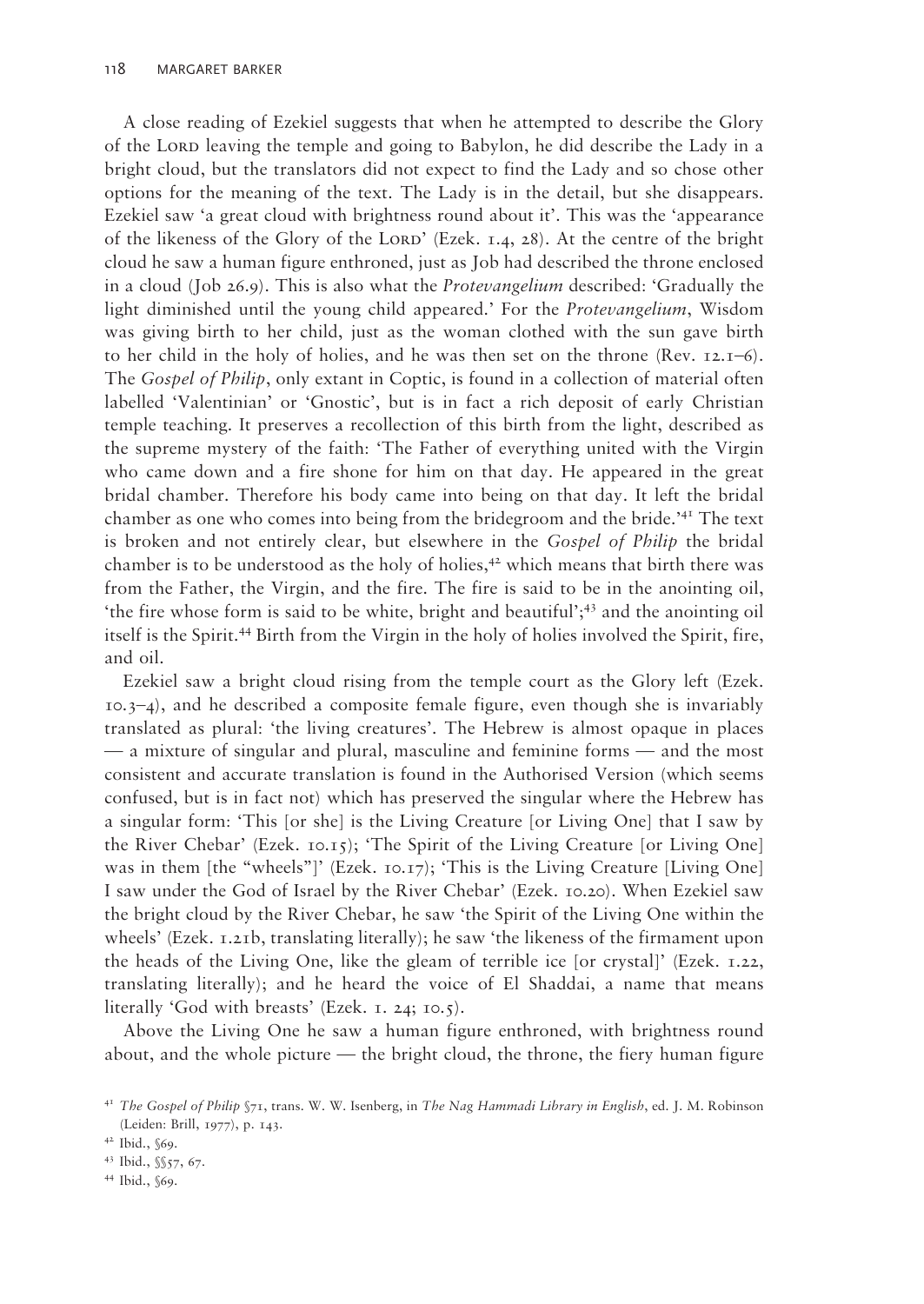A close reading of Ezekiel suggests that when he attempted to describe the Glory of the Lord leaving the temple and going to Babylon, he did describe the Lady in a bright cloud, but the translators did not expect to find the Lady and so chose other options for the meaning of the text. The Lady is in the detail, but she disappears. Ezekiel saw 'a great cloud with brightness round about it'. This was the 'appearance of the likeness of the Glory of the LORD' (Ezek. 1.4, 28). At the centre of the bright cloud he saw a human figure enthroned, just as Job had described the throne enclosed in a cloud (Job 26.9). This is also what the *Protevangelium* described: 'Gradually the light diminished until the young child appeared.' For the *Protevangelium*, Wisdom was giving birth to her child, just as the woman clothed with the sun gave birth to her child in the holy of holies, and he was then set on the throne (Rev. 12.1–6). The *Gospel of Philip*, only extant in Coptic, is found in a collection of material often labelled 'Valentinian' or 'Gnostic', but is in fact a rich deposit of early Christian temple teaching. It preserves a recollection of this birth from the light, described as the supreme mystery of the faith: 'The Father of everything united with the Virgin who came down and a fire shone for him on that day. He appeared in the great bridal chamber. Therefore his body came into being on that day. It left the bridal chamber as one who comes into being from the bridegroom and the bride.'41 The text is broken and not entirely clear, but elsewhere in the *Gospel of Philip* the bridal chamber is to be understood as the holy of holies, $42$  which means that birth there was from the Father, the Virgin, and the fire. The fire is said to be in the anointing oil, 'the fire whose form is said to be white, bright and beautiful';43 and the anointing oil itself is the Spirit.44 Birth from the Virgin in the holy of holies involved the Spirit, fire, and oil.

Ezekiel saw a bright cloud rising from the temple court as the Glory left (Ezek. 10.3–4), and he described a composite female figure, even though she is invariably translated as plural: 'the living creatures'. The Hebrew is almost opaque in places — a mixture of singular and plural, masculine and feminine forms — and the most consistent and accurate translation is found in the Authorised Version (which seems confused, but is in fact not) which has preserved the singular where the Hebrew has a singular form: 'This [or she] is the Living Creature [or Living One] that I saw by the River Chebar' (Ezek. 10.15); 'The Spirit of the Living Creature [or Living One] was in them [the "wheels"]' (Ezek. 10.17); 'This is the Living Creature [Living One] I saw under the God of Israel by the River Chebar' (Ezek. 10.20). When Ezekiel saw the bright cloud by the River Chebar, he saw 'the Spirit of the Living One within the wheels' (Ezek. 1.21b, translating literally); he saw 'the likeness of the firmament upon the heads of the Living One, like the gleam of terrible ice [or crystal]' (Ezek. 1.22, translating literally); and he heard the voice of El Shaddai, a name that means literally 'God with breasts' (Ezek. 1. 24; 10.5).

Above the Living One he saw a human figure enthroned, with brightness round about, and the whole picture — the bright cloud, the throne, the fiery human figure

44 Ibid., §69.

<sup>41</sup>*The Gospel of Philip* §71, trans. W. W. Isenberg, in *The Nag Hammadi Library in English*, ed. J. M. Robinson (Leiden: Brill, 1977), p. 143. 42 Ibid., §69.

<sup>43</sup> Ibid., §§57, 67.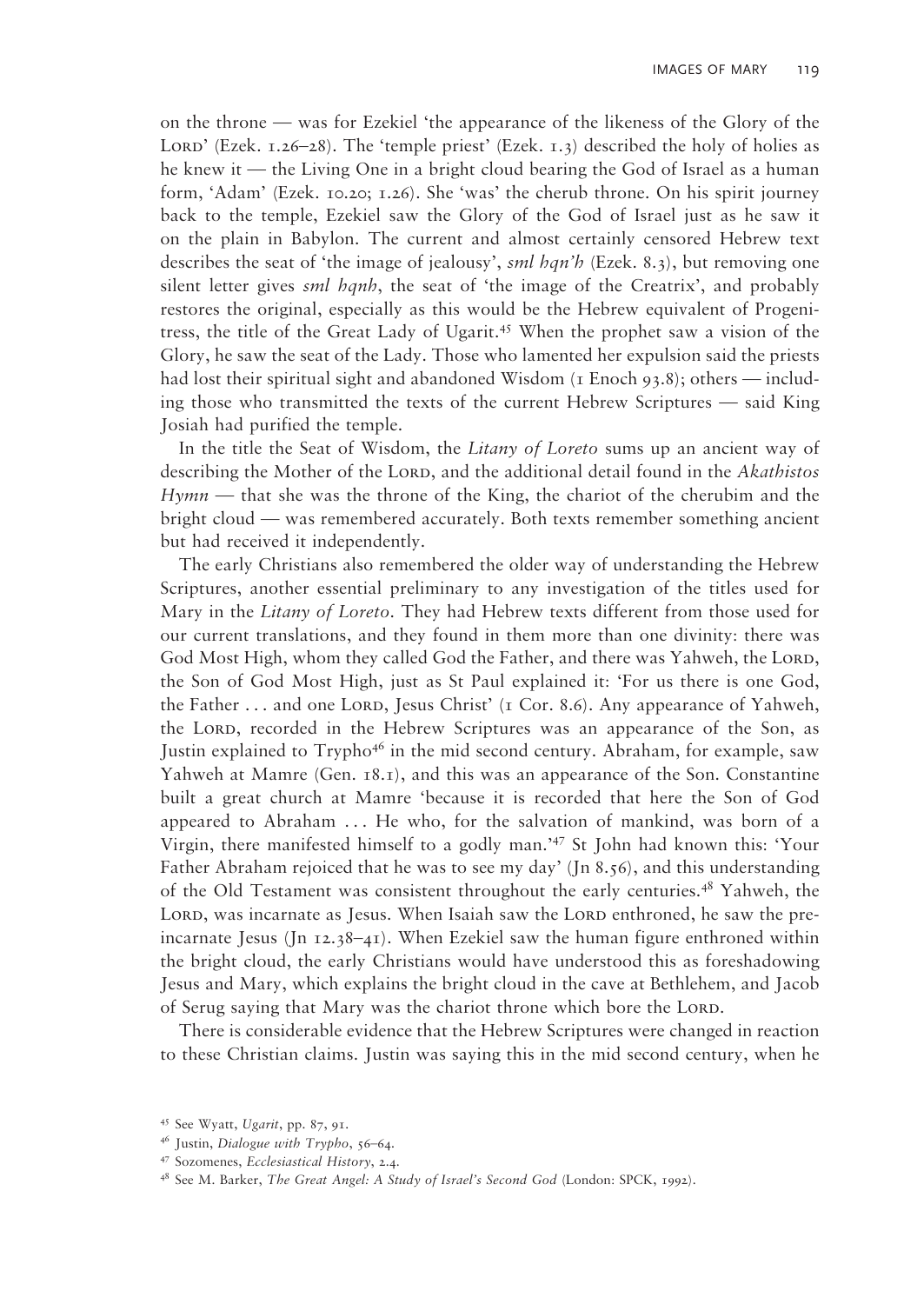on the throne — was for Ezekiel 'the appearance of the likeness of the Glory of the LORD' (Ezek.  $1.26-28$ ). The 'temple priest' (Ezek.  $1.3$ ) described the holy of holies as he knew it — the Living One in a bright cloud bearing the God of Israel as a human form, 'Adam' (Ezek. 10.20; 1.26). She 'was' the cherub throne. On his spirit journey back to the temple, Ezekiel saw the Glory of the God of Israel just as he saw it on the plain in Babylon. The current and almost certainly censored Hebrew text describes the seat of 'the image of jealousy', *sml hqn'h* (Ezek. 8.3), but removing one silent letter gives *sml hqnh*, the seat of 'the image of the Creatrix', and probably restores the original, especially as this would be the Hebrew equivalent of Progenitress, the title of the Great Lady of Ugarit.45 When the prophet saw a vision of the Glory, he saw the seat of the Lady. Those who lamented her expulsion said the priests had lost their spiritual sight and abandoned Wisdom (1 Enoch 93.8); others — including those who transmitted the texts of the current Hebrew Scriptures — said King Josiah had purified the temple.

In the title the Seat of Wisdom, the *Litany of Loreto* sums up an ancient way of describing the Mother of the Lorp, and the additional detail found in the *Akathistos Hymn* — that she was the throne of the King, the chariot of the cherubim and the bright cloud — was remembered accurately. Both texts remember something ancient but had received it independently.

The early Christians also remembered the older way of understanding the Hebrew Scriptures, another essential preliminary to any investigation of the titles used for Mary in the *Litany of Loreto*. They had Hebrew texts different from those used for our current translations, and they found in them more than one divinity: there was God Most High, whom they called God the Father, and there was Yahweh, the Lord, the Son of God Most High, just as St Paul explained it: 'For us there is one God, the Father  $\dots$  and one LORD, Jesus Christ' (1 Cor. 8.6). Any appearance of Yahweh, the LORD, recorded in the Hebrew Scriptures was an appearance of the Son, as Justin explained to Trypho<sup>46</sup> in the mid second century. Abraham, for example, saw Yahweh at Mamre (Gen. 18.1), and this was an appearance of the Son. Constantine built a great church at Mamre 'because it is recorded that here the Son of God appeared to Abraham ... He who, for the salvation of mankind, was born of a Virgin, there manifested himself to a godly man.'47 St John had known this: 'Your Father Abraham rejoiced that he was to see my day' (Jn 8.56), and this understanding of the Old Testament was consistent throughout the early centuries.<sup>48</sup> Yahweh, the LORD, was incarnate as Jesus. When Isaiah saw the LORD enthroned, he saw the preincarnate Jesus (Jn  $12.38-41$ ). When Ezekiel saw the human figure enthroned within the bright cloud, the early Christians would have understood this as foreshadowing Jesus and Mary, which explains the bright cloud in the cave at Bethlehem, and Jacob of Serug saying that Mary was the chariot throne which bore the LORD.

There is considerable evidence that the Hebrew Scriptures were changed in reaction to these Christian claims. Justin was saying this in the mid second century, when he

<sup>45</sup> See Wyatt, *Ugarit*, pp. 87, 91. 46 Justin, *Dialogue with Trypho*, 56–64.

<sup>47</sup> Sozomenes, *Ecclesiastical History*, 2.4.

<sup>48</sup> See M. Barker, *The Great Angel: A Study of Israel's Second God* (London: SPCK, 1992).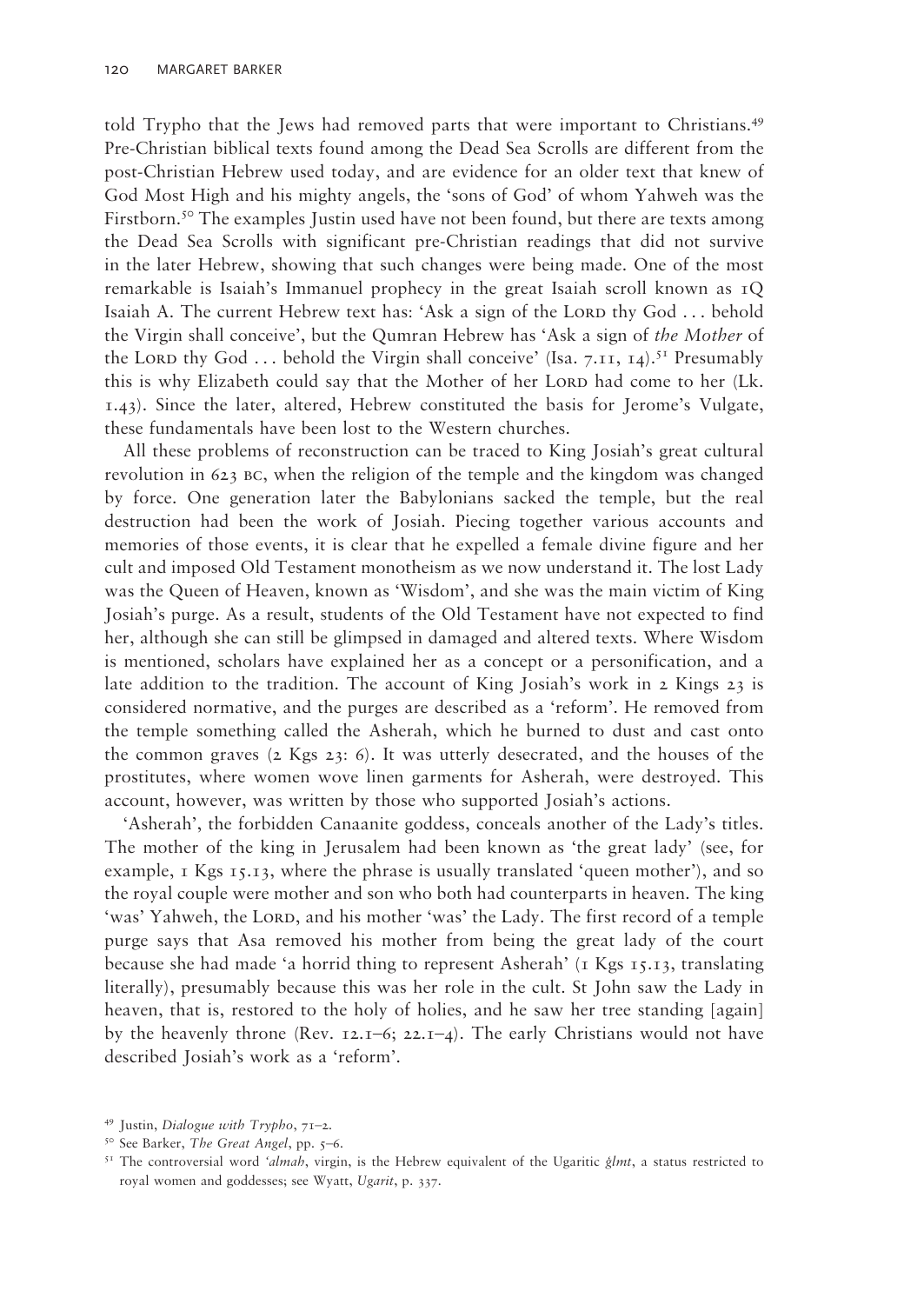told Trypho that the Jews had removed parts that were important to Christians.49 Pre-Christian biblical texts found among the Dead Sea Scrolls are different from the post-Christian Hebrew used today, and are evidence for an older text that knew of God Most High and his mighty angels, the 'sons of God' of whom Yahweh was the Firstborn.<sup>50</sup> The examples Justin used have not been found, but there are texts among the Dead Sea Scrolls with significant pre-Christian readings that did not survive in the later Hebrew, showing that such changes were being made. One of the most remarkable is Isaiah's Immanuel prophecy in the great Isaiah scroll known as 1Q Isaiah A. The current Hebrew text has: 'Ask a sign of the LORD thy God  $\ldots$  behold the Virgin shall conceive', but the Qumran Hebrew has 'Ask a sign of *the Mother* of the Lord thy God ... behold the Virgin shall conceive' (Isa. 7.11, 14).<sup>51</sup> Presumably this is why Elizabeth could say that the Mother of her LORD had come to her (Lk. 1.43). Since the later, altered, Hebrew constituted the basis for Jerome's Vulgate, these fundamentals have been lost to the Western churches.

All these problems of reconstruction can be traced to King Josiah's great cultural revolution in 623 bc, when the religion of the temple and the kingdom was changed by force. One generation later the Babylonians sacked the temple, but the real destruction had been the work of Josiah. Piecing together various accounts and memories of those events, it is clear that he expelled a female divine figure and her cult and imposed Old Testament monotheism as we now understand it. The lost Lady was the Queen of Heaven, known as 'Wisdom', and she was the main victim of King Josiah's purge. As a result, students of the Old Testament have not expected to find her, although she can still be glimpsed in damaged and altered texts. Where Wisdom is mentioned, scholars have explained her as a concept or a personification, and a late addition to the tradition. The account of King Josiah's work in 2 Kings 23 is considered normative, and the purges are described as a 'reform'. He removed from the temple something called the Asherah, which he burned to dust and cast onto the common graves  $(z$  Kgs  $z_3$ : 6). It was utterly desecrated, and the houses of the prostitutes, where women wove linen garments for Asherah, were destroyed. This account, however, was written by those who supported Josiah's actions.

'Asherah', the forbidden Canaanite goddess, conceals another of the Lady's titles. The mother of the king in Jerusalem had been known as 'the great lady' (see, for example,  $\overline{1}$  Kgs  $\overline{1}$ ,  $\overline{3}$ , where the phrase is usually translated 'queen mother'), and so the royal couple were mother and son who both had counterparts in heaven. The king 'was' Yahweh, the Lord, and his mother 'was' the Lady. The first record of a temple purge says that Asa removed his mother from being the great lady of the court because she had made 'a horrid thing to represent Asherah' ( $\tau$  Kgs  $\tau$ , $\tau$ , translating literally), presumably because this was her role in the cult. St John saw the Lady in heaven, that is, restored to the holy of holies, and he saw her tree standing [again] by the heavenly throne (Rev. 12.1–6; 22.1–4). The early Christians would not have described Josiah's work as a 'reform'.

<sup>49</sup> Justin, *Dialogue with Trypho*, 71–2.

<sup>50</sup> See Barker, *The Great Angel*, pp. 5–6.

<sup>51</sup> The controversial word *'almah*, virgin, is the Hebrew equivalent of the Ugaritic *gëlmt*, a status restricted to royal women and goddesses; see Wyatt, *Ugarit*, p. 337.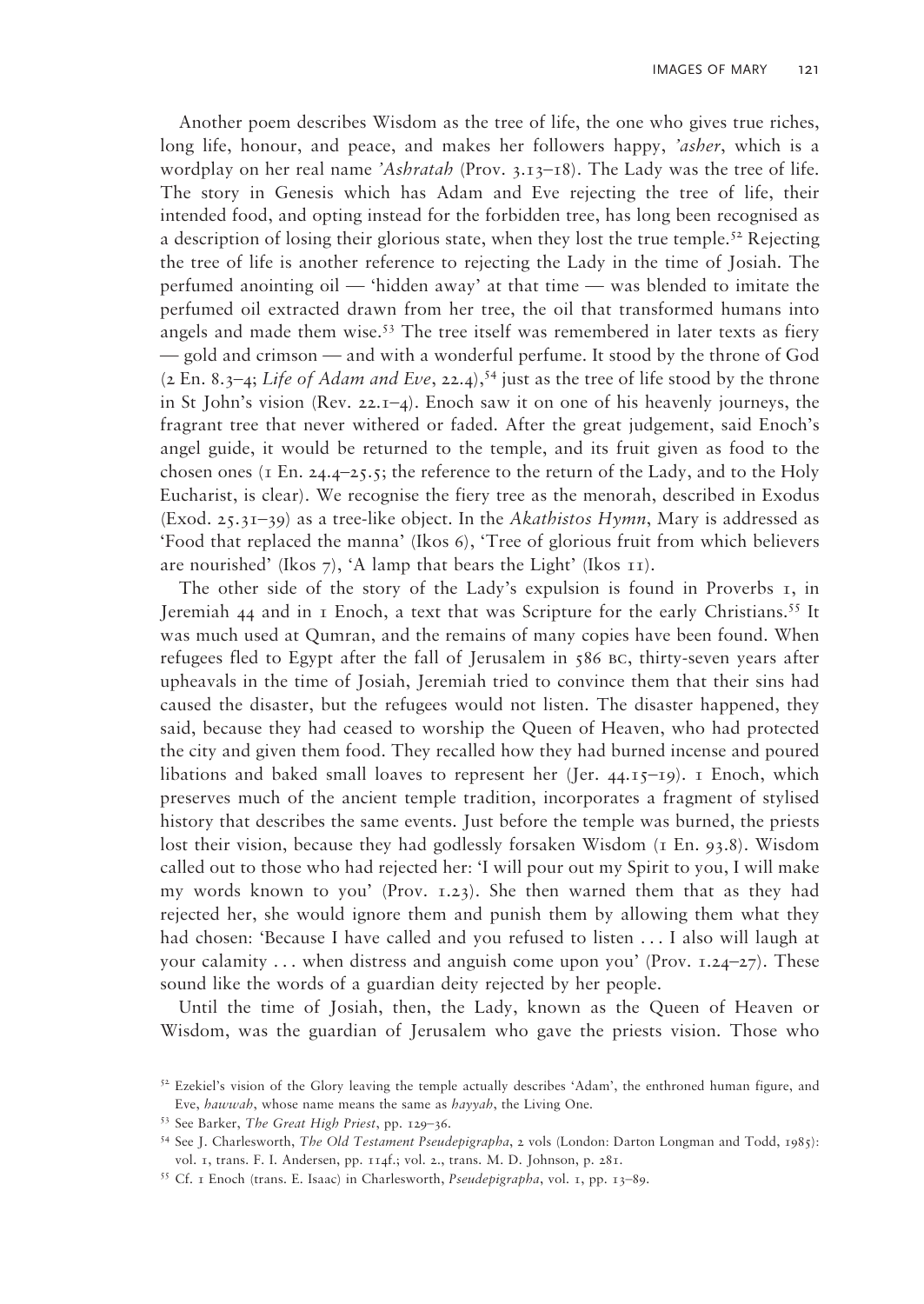Another poem describes Wisdom as the tree of life, the one who gives true riches, long life, honour, and peace, and makes her followers happy, *'asher*, which is a wordplay on her real name *'Ashratah* (Prov. 3.13–18). The Lady was the tree of life. The story in Genesis which has Adam and Eve rejecting the tree of life, their intended food, and opting instead for the forbidden tree, has long been recognised as a description of losing their glorious state, when they lost the true temple.<sup>52</sup> Rejecting the tree of life is another reference to rejecting the Lady in the time of Josiah. The perfumed anointing oil — 'hidden away' at that time — was blended to imitate the perfumed oil extracted drawn from her tree, the oil that transformed humans into angels and made them wise.<sup>53</sup> The tree itself was remembered in later texts as fiery — gold and crimson — and with a wonderful perfume. It stood by the throne of God  $(2 \text{ En. } 8,3-4; \text{ Life of Adam and Eve}, 22.4),$ <sup>54</sup> just as the tree of life stood by the throne in St John's vision (Rev. 22.1–4). Enoch saw it on one of his heavenly journeys, the fragrant tree that never withered or faded. After the great judgement, said Enoch's angel guide, it would be returned to the temple, and its fruit given as food to the chosen ones ( $\bar{1}$  En. 24.4–25.5; the reference to the return of the Lady, and to the Holy Eucharist, is clear). We recognise the fiery tree as the menorah, described in Exodus (Exod. 25.31–39) as a tree-like object. In the *Akathistos Hymn*, Mary is addressed as 'Food that replaced the manna' (Ikos 6), 'Tree of glorious fruit from which believers are nourished' (Ikos 7), 'A lamp that bears the Light' (Ikos  $\overline{11}$ ).

The other side of the story of the Lady's expulsion is found in Proverbs 1, in Jeremiah 44 and in  $\bar{x}$  Enoch, a text that was Scripture for the early Christians.<sup>55</sup> It was much used at Qumran, and the remains of many copies have been found. When refugees fled to Egypt after the fall of Jerusalem in 586 bc, thirty-seven years after upheavals in the time of Josiah, Jeremiah tried to convince them that their sins had caused the disaster, but the refugees would not listen. The disaster happened, they said, because they had ceased to worship the Queen of Heaven, who had protected the city and given them food. They recalled how they had burned incense and poured libations and baked small loaves to represent her (Jer. 44.15–19). 1 Enoch, which preserves much of the ancient temple tradition, incorporates a fragment of stylised history that describes the same events. Just before the temple was burned, the priests lost their vision, because they had godlessly forsaken Wisdom (1 En. 93.8). Wisdom called out to those who had rejected her: 'I will pour out my Spirit to you, I will make my words known to you' (Prov. 1.23). She then warned them that as they had rejected her, she would ignore them and punish them by allowing them what they had chosen: 'Because I have called and you refused to listen . . . I also will laugh at your calamity ... when distress and anguish come upon you' (Prov.  $1.24-27$ ). These sound like the words of a guardian deity rejected by her people.

Until the time of Josiah, then, the Lady, known as the Queen of Heaven or Wisdom, was the guardian of Jerusalem who gave the priests vision. Those who

<sup>&</sup>lt;sup>52</sup> Ezekiel's vision of the Glory leaving the temple actually describes 'Adam', the enthroned human figure, and Eve, *hawwah*, whose name means the same as *hayyah*, the Living One. 53 See Barker, *The Great High Priest*, pp. 129–36.

<sup>54</sup> See J. Charlesworth, *The Old Testament Pseudepigrapha*, 2 vols (London: Darton Longman and Todd, 1985): vol. 1, trans. F. I. Andersen, pp. 114f.; vol. 2., trans. M. D. Johnson, p. 281.

<sup>55</sup> Cf. 1 Enoch (trans. E. Isaac) in Charlesworth, *Pseudepigrapha*, vol. 1, pp. 13–89.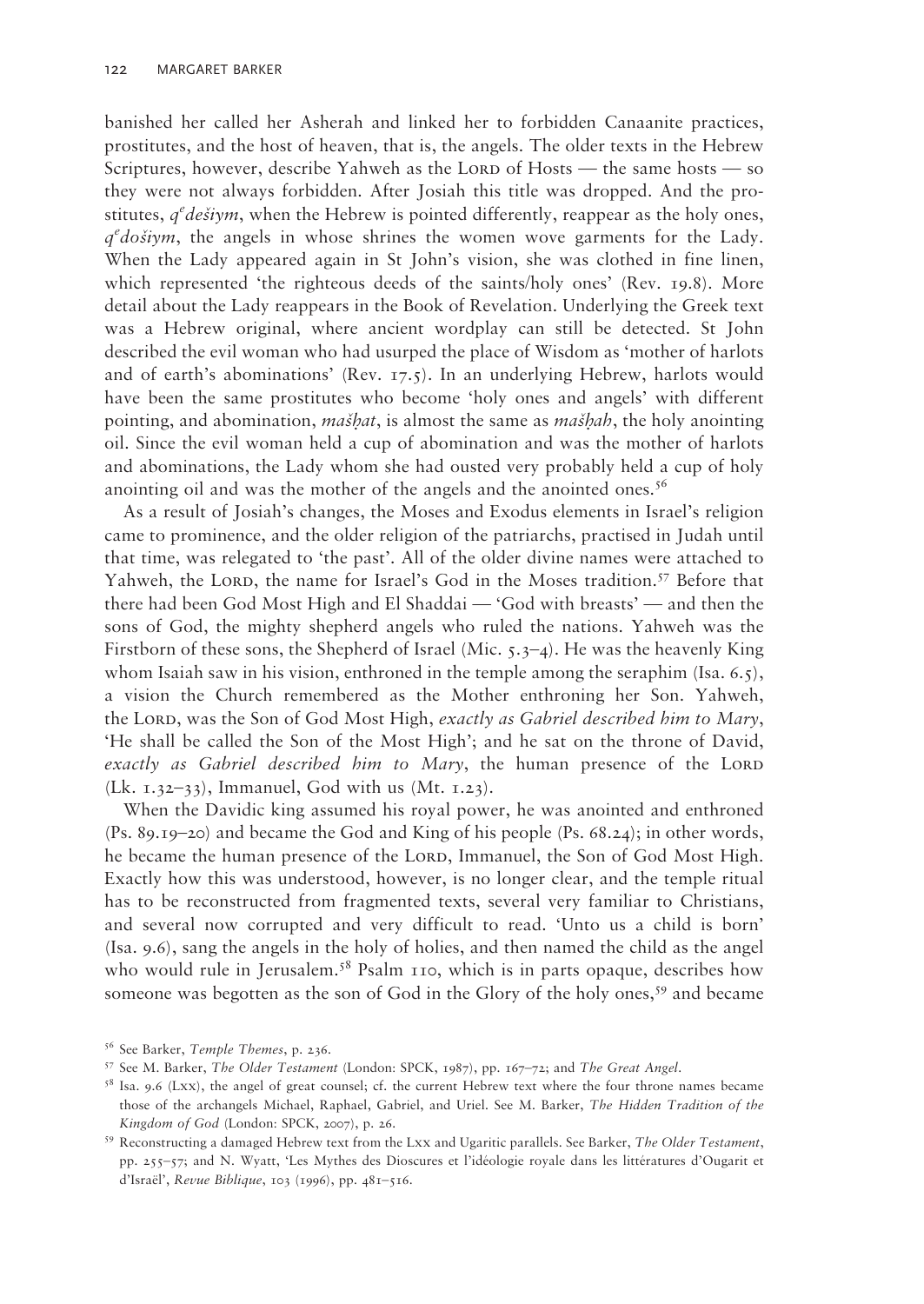banished her called her Asherah and linked her to forbidden Canaanite practices, prostitutes, and the host of heaven, that is, the angels. The older texts in the Hebrew Scriptures, however, describe Yahweh as the LORD of Hosts — the same hosts — so they were not always forbidden. After Josiah this title was dropped. And the prostitutes, *q<sup>e</sup>dešiym*, when the Hebrew is pointed differently, reappear as the holy ones, q<sup>e</sup> došiym, the angels in whose shrines the women wove garments for the Lady. When the Lady appeared again in St John's vision, she was clothed in fine linen, which represented 'the righteous deeds of the saints/holy ones' (Rev. 19.8). More detail about the Lady reappears in the Book of Revelation. Underlying the Greek text was a Hebrew original, where ancient wordplay can still be detected. St John described the evil woman who had usurped the place of Wisdom as 'mother of harlots and of earth's abominations' (Rev. 17.5). In an underlying Hebrew, harlots would have been the same prostitutes who become 'holy ones and angels' with different pointing, and abomination, *mašhat*, is almost the same as *mašhah*, the holy anointing oil. Since the evil woman held a cup of abomination and was the mother of harlots and abominations, the Lady whom she had ousted very probably held a cup of holy anointing oil and was the mother of the angels and the anointed ones.<sup>56</sup>

As a result of Josiah's changes, the Moses and Exodus elements in Israel's religion came to prominence, and the older religion of the patriarchs, practised in Judah until that time, was relegated to 'the past'. All of the older divine names were attached to Yahweh, the LORD, the name for Israel's God in the Moses tradition.<sup>57</sup> Before that there had been God Most High and El Shaddai — 'God with breasts' — and then the sons of God, the mighty shepherd angels who ruled the nations. Yahweh was the Firstborn of these sons, the Shepherd of Israel (Mic.  $5.3-4$ ). He was the heavenly King whom Isaiah saw in his vision, enthroned in the temple among the seraphim (Isa.  $6.5$ ), a vision the Church remembered as the Mother enthroning her Son. Yahweh, the Lord, was the Son of God Most High, *exactly as Gabriel described him to Mary*, 'He shall be called the Son of the Most High'; and he sat on the throne of David, *exactly as Gabriel described him to Mary*, the human presence of the LORD (Lk.  $1.32-33$ ), Immanuel, God with us (Mt.  $1.23$ ).

When the Davidic king assumed his royal power, he was anointed and enthroned (Ps. 89.19–20) and became the God and King of his people (Ps. 68.24); in other words, he became the human presence of the LORD, Immanuel, the Son of God Most High. Exactly how this was understood, however, is no longer clear, and the temple ritual has to be reconstructed from fragmented texts, several very familiar to Christians, and several now corrupted and very difficult to read. 'Unto us a child is born' (Isa. 9.6), sang the angels in the holy of holies, and then named the child as the angel who would rule in Jerusalem.<sup>58</sup> Psalm 110, which is in parts opaque, describes how someone was begotten as the son of God in the Glory of the holy ones,<sup>59</sup> and became

<sup>56</sup> See Barker, *Temple Themes*, p. 236.

<sup>57</sup> See M. Barker, *The Older Testament* (London: SPCK, 1987), pp. 167–72; and *The Great Angel*. 58 Isa. 9.6 (Lxx), the angel of great counsel; cf. the current Hebrew text where the four throne names became those of the archangels Michael, Raphael, Gabriel, and Uriel. See M. Barker, *The Hidden Tradition of the Kingdom of God* (London: SPCK, 2007), p. 26. 59 Reconstructing a damaged Hebrew text from the Lxx and Ugaritic parallels. See Barker, *The Older Testament*,

pp. 255–57; and N. Wyatt, 'Les Mythes des Dioscures et l'idéologie royale dans les littératures d'Ougarit et d'Israël', *Revue Biblique*, 103 (1996), pp. 481–516.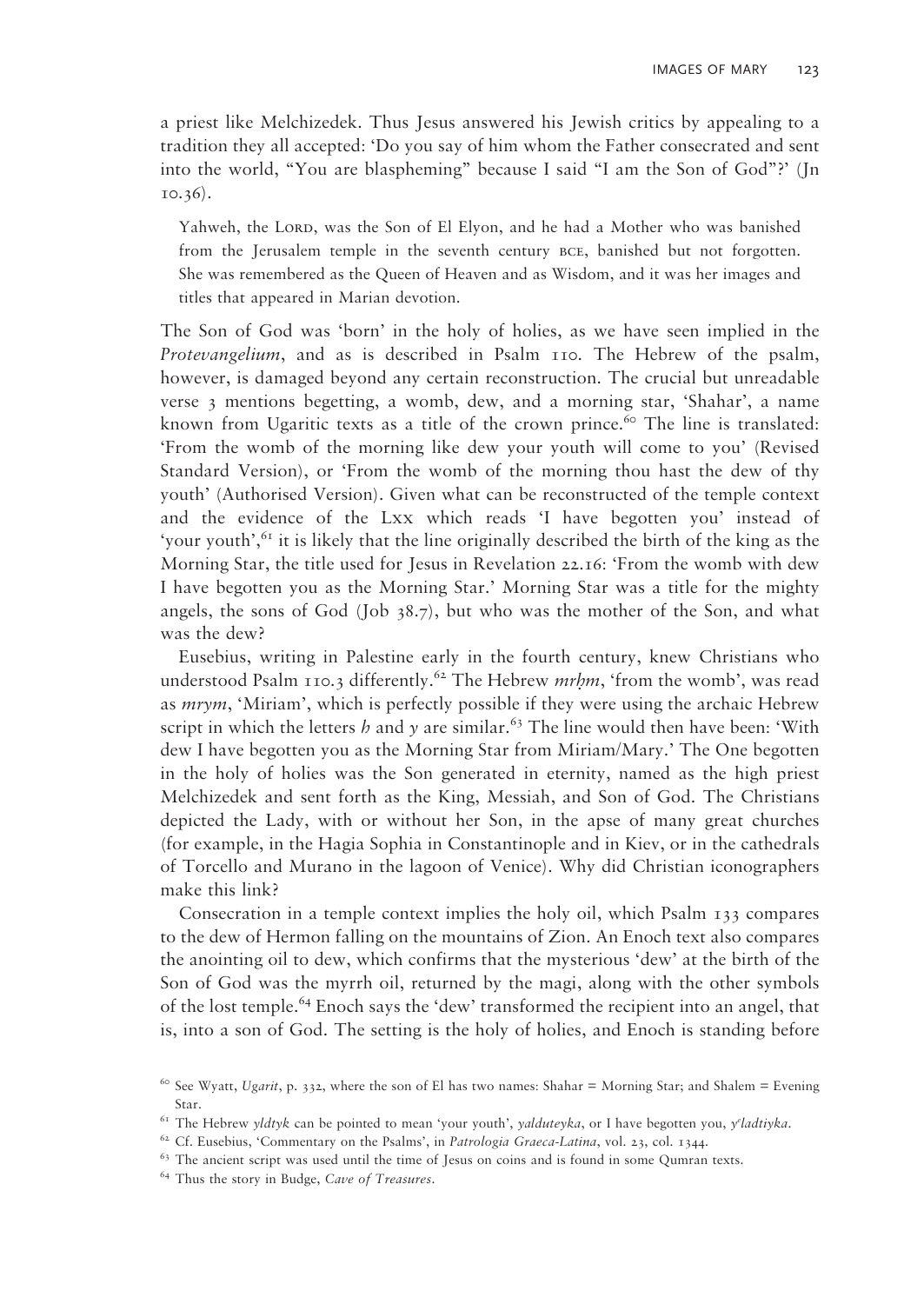a priest like Melchizedek. Thus Jesus answered his Jewish critics by appealing to a tradition they all accepted: 'Do you say of him whom the Father consecrated and sent into the world, "You are blaspheming" because I said "I am the Son of God"?' (Jn 10.36).

Yahweh, the Lord, was the Son of El Elyon, and he had a Mother who was banished from the Jerusalem temple in the seventh century bce, banished but not forgotten. She was remembered as the Queen of Heaven and as Wisdom, and it was her images and titles that appeared in Marian devotion.

The Son of God was 'born' in the holy of holies, as we have seen implied in the *Protevangelium*, and as is described in Psalm 110. The Hebrew of the psalm, however, is damaged beyond any certain reconstruction. The crucial but unreadable verse 3 mentions begetting, a womb, dew, and a morning star, 'Shahar', a name known from Ugaritic texts as a title of the crown prince.<sup>60</sup> The line is translated: 'From the womb of the morning like dew your youth will come to you' (Revised Standard Version), or 'From the womb of the morning thou hast the dew of thy youth' (Authorised Version). Given what can be reconstructed of the temple context and the evidence of the Lxx which reads 'I have begotten you' instead of 'your youth', $61$  it is likely that the line originally described the birth of the king as the Morning Star, the title used for Jesus in Revelation 22.16: 'From the womb with dew I have begotten you as the Morning Star.' Morning Star was a title for the mighty angels, the sons of God (Job  $38.7$ ), but who was the mother of the Son, and what was the dew?

Eusebius, writing in Palestine early in the fourth century, knew Christians who understood Psalm 110.3 differently.<sup>62</sup> The Hebrew *mrhm*, 'from the womb', was read as *mrym*, 'Miriam', which is perfectly possible if they were using the archaic Hebrew script in which the letters *h* and *y* are similar.<sup>63</sup> The line would then have been: 'With dew I have begotten you as the Morning Star from Miriam/Mary.' The One begotten in the holy of holies was the Son generated in eternity, named as the high priest Melchizedek and sent forth as the King, Messiah, and Son of God. The Christians depicted the Lady, with or without her Son, in the apse of many great churches (for example, in the Hagia Sophia in Constantinople and in Kiev, or in the cathedrals of Torcello and Murano in the lagoon of Venice). Why did Christian iconographers make this link?

Consecration in a temple context implies the holy oil, which Psalm 133 compares to the dew of Hermon falling on the mountains of Zion. An Enoch text also compares the anointing oil to dew, which confirms that the mysterious 'dew' at the birth of the Son of God was the myrrh oil, returned by the magi, along with the other symbols of the lost temple.64 Enoch says the 'dew' transformed the recipient into an angel, that is, into a son of God. The setting is the holy of holies, and Enoch is standing before

<sup>60</sup> See Wyatt, *Ugarit*, p. 332, where the son of El has two names: Shahar = Morning Star; and Shalem = Evening Star. 61 The Hebrew *yldtyk* can be pointed to mean 'your youth', *yalduteyka*, or I have begotten you, *ye*

<sup>&</sup>lt;sup>61</sup> The Hebrew *yldtyk* can be pointed to mean 'your youth', *yalduteyka*, or I have begotten you, *y'ladtiyka*.<br><sup>62</sup> Cf. Eusebius, 'Commentary on the Psalms', in *Patrologia Graeca-Latina*, vol. 23, col. 1344.

<sup>63</sup> The ancient script was used until the time of Jesus on coins and is found in some Qumran texts. 64 Thus the story in Budge, *Cave of Treasures*.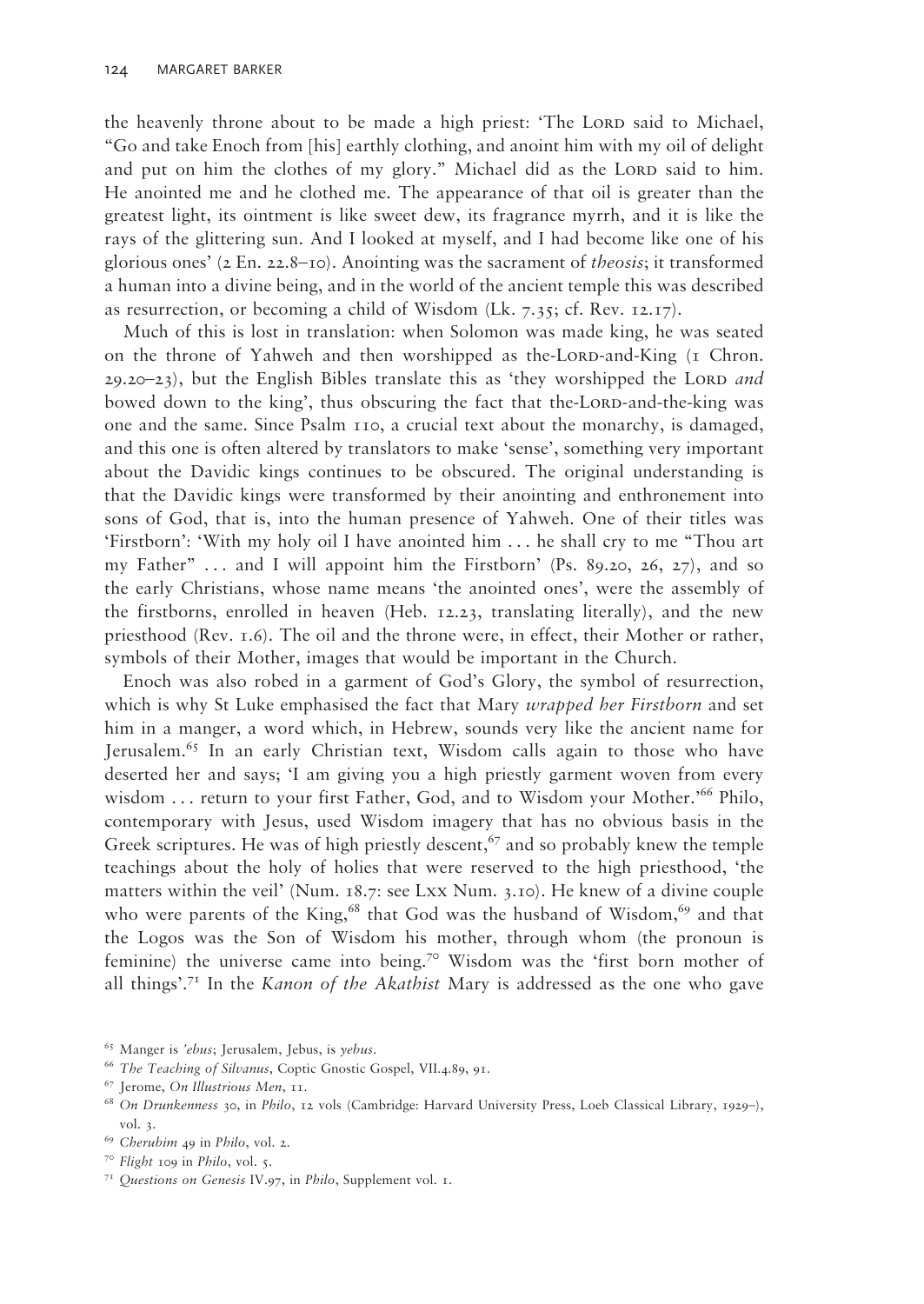the heavenly throne about to be made a high priest: 'The LORD said to Michael, "Go and take Enoch from [his] earthly clothing, and anoint him with my oil of delight and put on him the clothes of my glory." Michael did as the LORD said to him. He anointed me and he clothed me. The appearance of that oil is greater than the greatest light, its ointment is like sweet dew, its fragrance myrrh, and it is like the rays of the glittering sun. And I looked at myself, and I had become like one of his glorious ones' (2 En. 22.8–10). Anointing was the sacrament of *theosis*; it transformed a human into a divine being, and in the world of the ancient temple this was described as resurrection, or becoming a child of Wisdom (Lk. 7.35; cf. Rev. 12.17).

Much of this is lost in translation: when Solomon was made king, he was seated on the throne of Yahweh and then worshipped as the-LORD-and-King (1 Chron.  $29.20-23$ ), but the English Bibles translate this as 'they worshipped the LORD *and* bowed down to the king', thus obscuring the fact that the-LORD-and-the-king was one and the same. Since Psalm 110, a crucial text about the monarchy, is damaged, and this one is often altered by translators to make 'sense', something very important about the Davidic kings continues to be obscured. The original understanding is that the Davidic kings were transformed by their anointing and enthronement into sons of God, that is, into the human presence of Yahweh. One of their titles was 'Firstborn': 'With my holy oil I have anointed him . . . he shall cry to me "Thou art my Father"  $\dots$  and I will appoint him the Firstborn' (Ps. 89.20, 26, 27), and so the early Christians, whose name means 'the anointed ones', were the assembly of the firstborns, enrolled in heaven (Heb. 12.23, translating literally), and the new priesthood (Rev. 1.6). The oil and the throne were, in effect, their Mother or rather, symbols of their Mother, images that would be important in the Church.

Enoch was also robed in a garment of God's Glory, the symbol of resurrection, which is why St Luke emphasised the fact that Mary *wrapped her Firstborn* and set him in a manger, a word which, in Hebrew, sounds very like the ancient name for Jerusalem.65 In an early Christian text, Wisdom calls again to those who have deserted her and says; 'I am giving you a high priestly garment woven from every wisdom . . . return to your first Father, God, and to Wisdom your Mother.'66 Philo, contemporary with Jesus, used Wisdom imagery that has no obvious basis in the Greek scriptures. He was of high priestly descent,  $67$  and so probably knew the temple teachings about the holy of holies that were reserved to the high priesthood, 'the matters within the veil' (Num. 18.7: see Lxx Num. 3.10). He knew of a divine couple who were parents of the King,<sup>68</sup> that God was the husband of Wisdom,<sup>69</sup> and that the Logos was the Son of Wisdom his mother, through whom (the pronoun is feminine) the universe came into being.<sup>70</sup> Wisdom was the 'first born mother of all things'.71 In the *Kanon of the Akathist* Mary is addressed as the one who gave

<sup>71</sup>*Questions on Genesis* IV.97, in *Philo*, Supplement vol. 1.

<sup>65</sup> Manger is *'ebus*; Jerusalem, Jebus, is *yebus*. 66 *The Teaching of Silvanus*, Coptic Gnostic Gospel, VII.4.89, 91. 67 Jerome, *On Illustrious Men*, 11.

<sup>68</sup>*On Drunkenness* 30, in *Philo*, 12 vols (Cambridge: Harvard University Press, Loeb Classical Library, 1929–), vol. 3.

<sup>69</sup>*Cherubim* 49 in *Philo*, vol. 2.

<sup>70</sup>*Flight* 109 in *Philo*, vol. 5.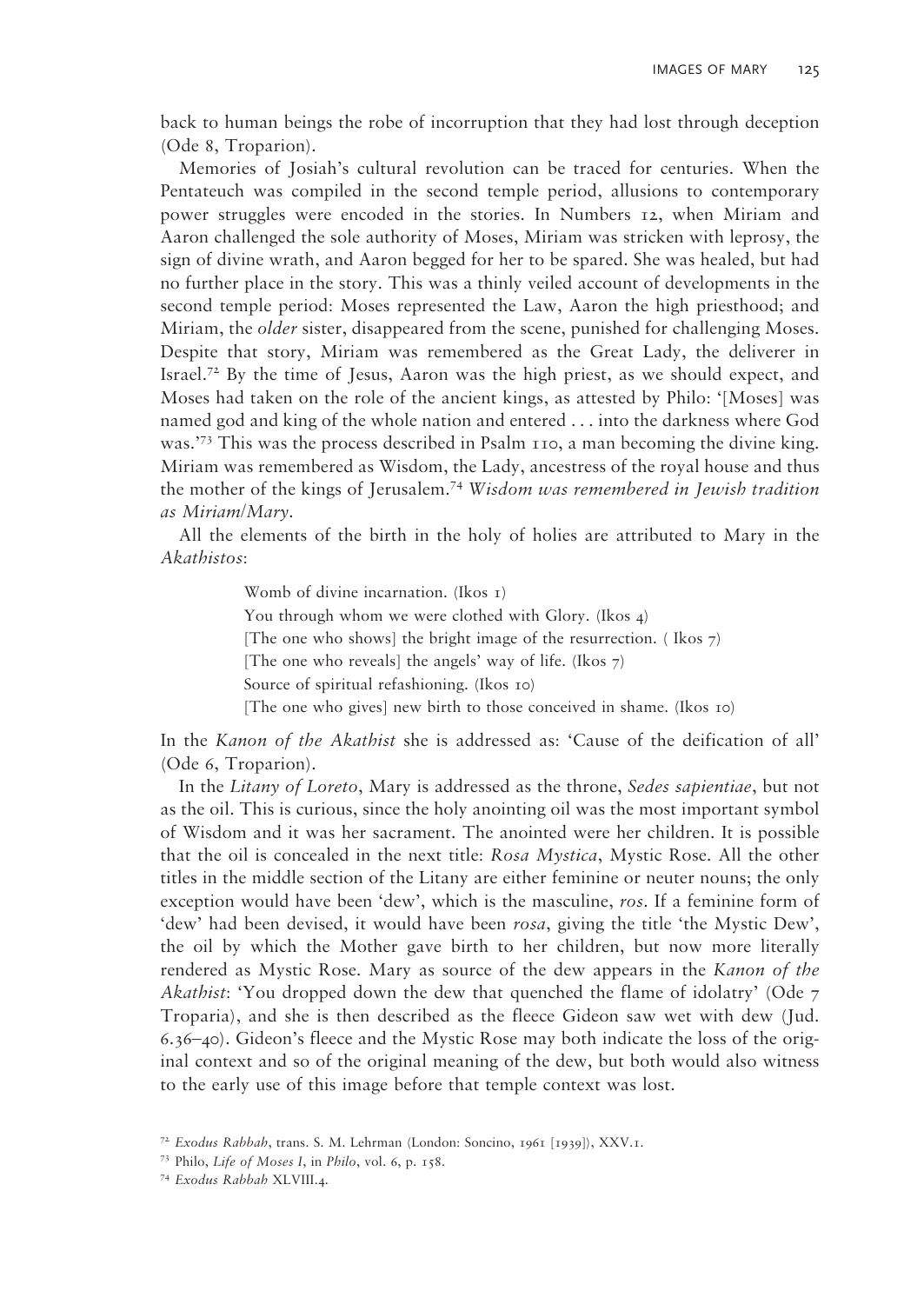back to human beings the robe of incorruption that they had lost through deception (Ode 8, Troparion).

Memories of Josiah's cultural revolution can be traced for centuries. When the Pentateuch was compiled in the second temple period, allusions to contemporary power struggles were encoded in the stories. In Numbers 12, when Miriam and Aaron challenged the sole authority of Moses, Miriam was stricken with leprosy, the sign of divine wrath, and Aaron begged for her to be spared. She was healed, but had no further place in the story. This was a thinly veiled account of developments in the second temple period: Moses represented the Law, Aaron the high priesthood; and Miriam, the *older* sister, disappeared from the scene, punished for challenging Moses. Despite that story, Miriam was remembered as the Great Lady, the deliverer in Israel.<sup>72</sup> By the time of Jesus, Aaron was the high priest, as we should expect, and Moses had taken on the role of the ancient kings, as attested by Philo: '[Moses] was named god and king of the whole nation and entered . . . into the darkness where God was.'73 This was the process described in Psalm 110, a man becoming the divine king. Miriam was remembered as Wisdom, the Lady, ancestress of the royal house and thus the mother of the kings of Jerusalem.74 *Wisdom was remembered in Jewish tradition as Miriam/Mary*.

All the elements of the birth in the holy of holies are attributed to Mary in the *Akathistos*:

> Womb of divine incarnation. (Ikos 1) You through whom we were clothed with Glory. (Ikos 4) [The one who shows] the bright image of the resurrection. (Ikos  $7$ ) [The one who reveals] the angels' way of life. (Ikos  $\tau$ ) Source of spiritual refashioning. (Ikos 10) [The one who gives] new birth to those conceived in shame. (Ikos 10)

In the *Kanon of the Akathist* she is addressed as: 'Cause of the deification of all' (Ode 6, Troparion).

In the *Litany of Loreto*, Mary is addressed as the throne, *Sedes sapientiae*, but not as the oil. This is curious, since the holy anointing oil was the most important symbol of Wisdom and it was her sacrament. The anointed were her children. It is possible that the oil is concealed in the next title: *Rosa Mystica*, Mystic Rose. All the other titles in the middle section of the Litany are either feminine or neuter nouns; the only exception would have been 'dew', which is the masculine, *ros*. If a feminine form of 'dew' had been devised, it would have been *rosa*, giving the title 'the Mystic Dew', the oil by which the Mother gave birth to her children, but now more literally rendered as Mystic Rose. Mary as source of the dew appears in the *Kanon of the Akathist*: 'You dropped down the dew that quenched the flame of idolatry' (Ode 7 Troparia), and she is then described as the fleece Gideon saw wet with dew (Jud. 6.36–40). Gideon's fleece and the Mystic Rose may both indicate the loss of the original context and so of the original meaning of the dew, but both would also witness to the early use of this image before that temple context was lost.

<sup>72</sup>*Exodus Rabbah*, trans. S. M. Lehrman (London: Soncino, 1961 [1939]), XXV.1.

<sup>73</sup> Philo, *Life of Moses I*, in *Philo*, vol. 6, p. 158.

<sup>74</sup>*Exodus Rabbah* XLVIII.4.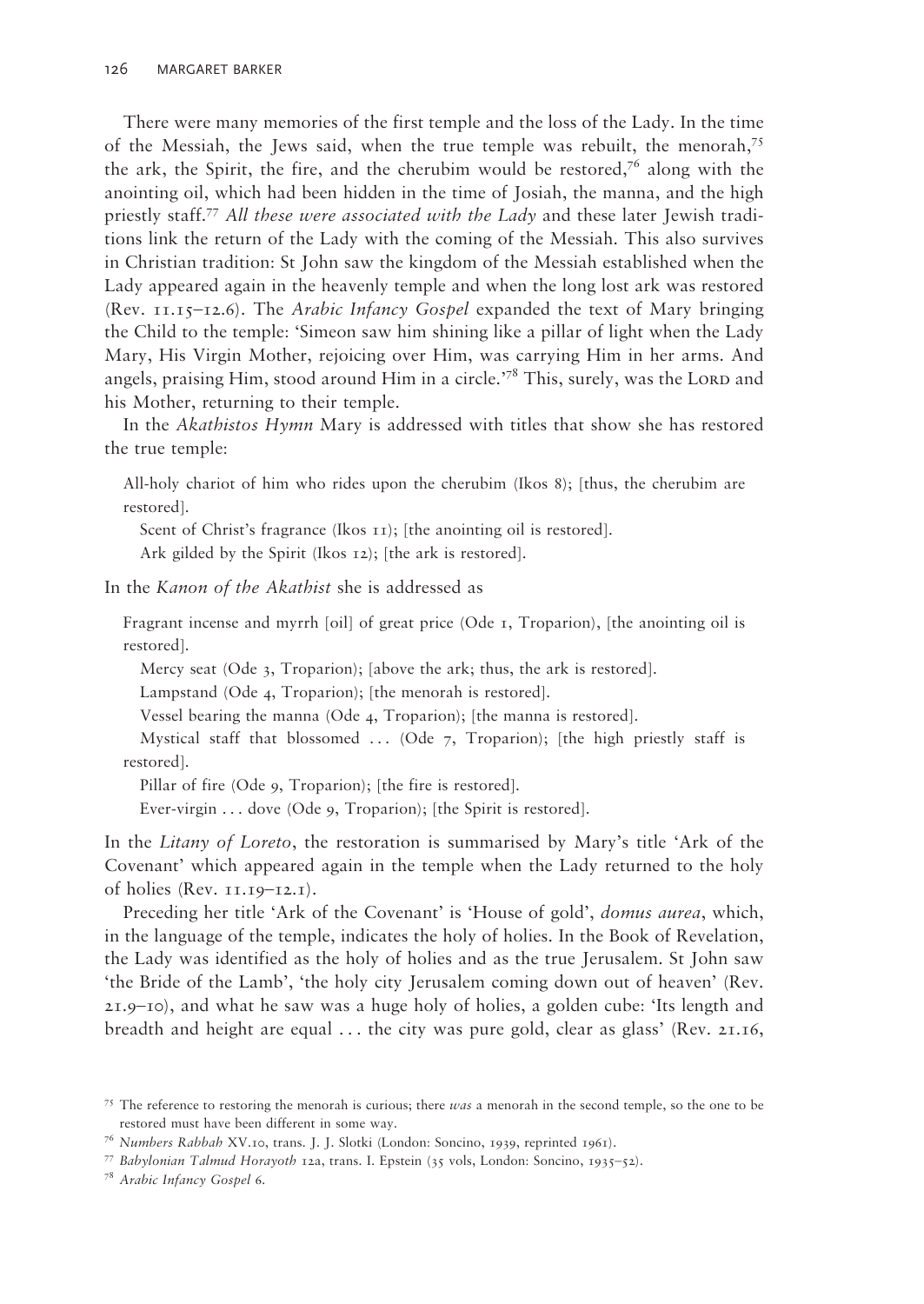There were many memories of the first temple and the loss of the Lady. In the time of the Messiah, the Jews said, when the true temple was rebuilt, the menorah,<sup>75</sup> the ark, the Spirit, the fire, and the cherubim would be restored,<sup>76</sup> along with the anointing oil, which had been hidden in the time of Josiah, the manna, and the high priestly staff.77 *All these were associated with the Lady* and these later Jewish traditions link the return of the Lady with the coming of the Messiah. This also survives in Christian tradition: St John saw the kingdom of the Messiah established when the Lady appeared again in the heavenly temple and when the long lost ark was restored (Rev. 11.15–12.6). The *Arabic Infancy Gospel* expanded the text of Mary bringing the Child to the temple: 'Simeon saw him shining like a pillar of light when the Lady Mary, His Virgin Mother, rejoicing over Him, was carrying Him in her arms. And angels, praising Him, stood around Him in a circle.'78 This, surely, was the LORD and his Mother, returning to their temple.

In the *Akathistos Hymn* Mary is addressed with titles that show she has restored the true temple:

All-holy chariot of him who rides upon the cherubim (Ikos 8); [thus, the cherubim are restored].

Scent of Christ's fragrance (Ikos 11); [the anointing oil is restored].

Ark gilded by the Spirit (Ikos 12); [the ark is restored].

In the *Kanon of the Akathist* she is addressed as

Fragrant incense and myrrh [oil] of great price (Ode 1, Troparion), [the anointing oil is restored].

Mercy seat (Ode 3, Troparion); [above the ark; thus, the ark is restored].

Lampstand (Ode 4, Troparion); [the menorah is restored].

Vessel bearing the manna (Ode 4, Troparion); [the manna is restored].

Mystical staff that blossomed  $\ldots$  (Ode 7, Troparion); [the high priestly staff is restored].

Pillar of fire (Ode 9, Troparion); [the fire is restored].

Ever-virgin . . . dove (Ode 9, Troparion); [the Spirit is restored].

In the *Litany of Loreto*, the restoration is summarised by Mary's title 'Ark of the Covenant' which appeared again in the temple when the Lady returned to the holy of holies (Rev.  $11.19 - 12.1$ ).

Preceding her title 'Ark of the Covenant' is 'House of gold', *domus aurea*, which, in the language of the temple, indicates the holy of holies. In the Book of Revelation, the Lady was identified as the holy of holies and as the true Jerusalem. St John saw 'the Bride of the Lamb', 'the holy city Jerusalem coming down out of heaven' (Rev. 21.9–10), and what he saw was a huge holy of holies, a golden cube: 'Its length and breadth and height are equal . . . the city was pure gold, clear as glass' (Rev. 21.16,

<sup>75</sup> The reference to restoring the menorah is curious; there *was* a menorah in the second temple, so the one to be restored must have been different in some way.

<sup>76</sup>*Numbers Rabbah* XV.10, trans. J. J. Slotki (London: Soncino, 1939, reprinted 1961).

<sup>77</sup>*Babylonian Talmud Horayoth* 12a, trans. I. Epstein (35 vols, London: Soncino, 1935–52).

<sup>78</sup>*Arabic Infancy Gospel* 6.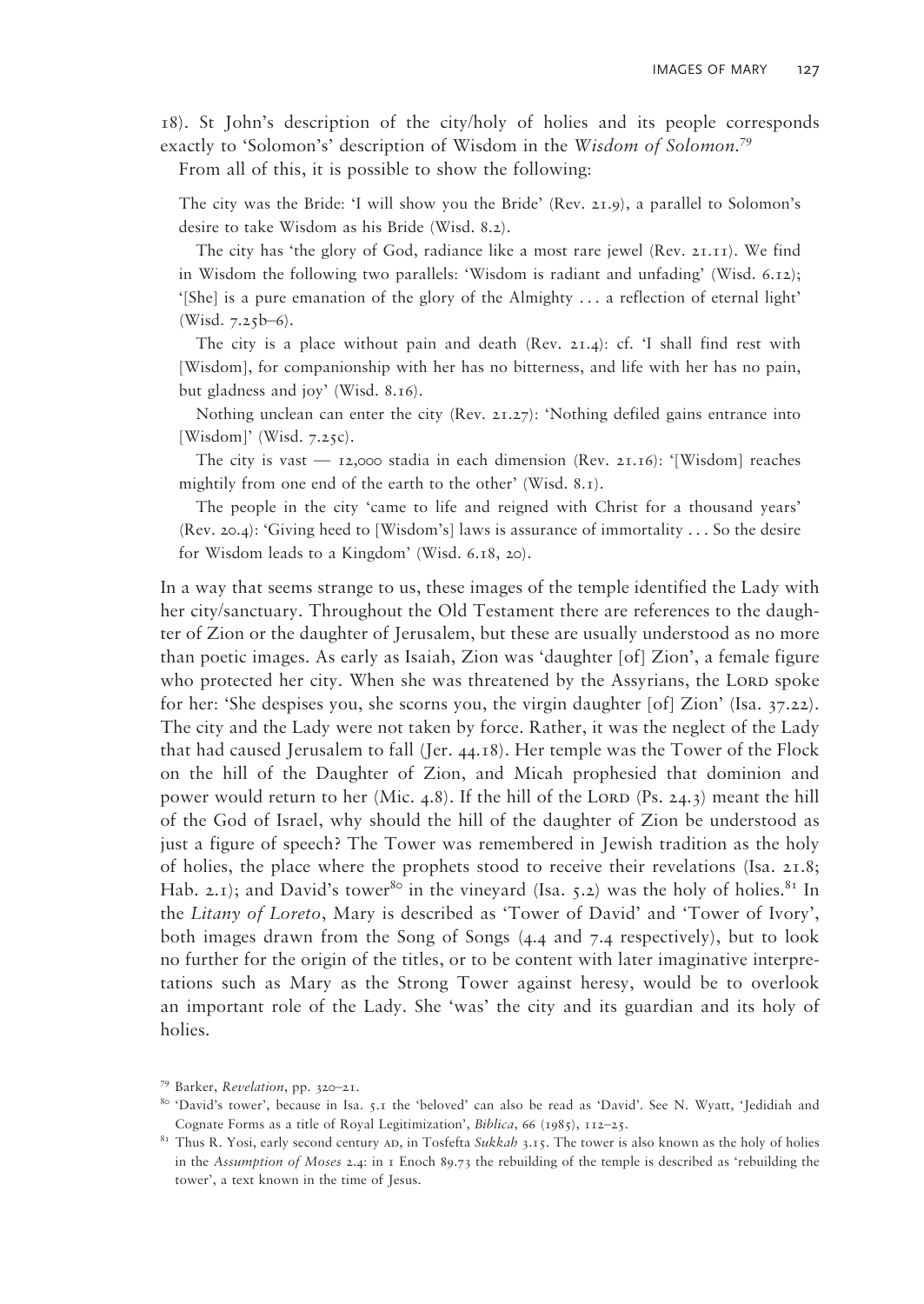18). St John's description of the city/holy of holies and its people corresponds exactly to 'Solomon's' description of Wisdom in the *Wisdom of Solomon*. 79 From all of this, it is possible to show the following:

The city was the Bride: 'I will show you the Bride' (Rev. 21.9), a parallel to Solomon's desire to take Wisdom as his Bride (Wisd. 8.2).

 The city has 'the glory of God, radiance like a most rare jewel (Rev. 21.11). We find in Wisdom the following two parallels: 'Wisdom is radiant and unfading' (Wisd. 6.12); '[She] is a pure emanation of the glory of the Almighty  $\dots$  a reflection of eternal light' (Wisd. 7.25b–6).

 The city is a place without pain and death (Rev. 21.4): cf. 'I shall find rest with [Wisdom], for companionship with her has no bitterness, and life with her has no pain, but gladness and joy' (Wisd. 8.16).

Nothing unclean can enter the city (Rev.  $2I.27$ ): 'Nothing defiled gains entrance into [Wisdom]' (Wisd. 7.25c).

The city is vast  $-$  12,000 stadia in each dimension (Rev. 21.16): '[Wisdom] reaches mightily from one end of the earth to the other' (Wisd. 8.1).

 The people in the city 'came to life and reigned with Christ for a thousand years' (Rev. 20.4): 'Giving heed to [Wisdom's] laws is assurance of immortality . . . So the desire for Wisdom leads to a Kingdom' (Wisd. 6.18, 20).

In a way that seems strange to us, these images of the temple identified the Lady with her city/sanctuary. Throughout the Old Testament there are references to the daughter of Zion or the daughter of Jerusalem, but these are usually understood as no more than poetic images. As early as Isaiah, Zion was 'daughter [of] Zion', a female figure who protected her city. When she was threatened by the Assyrians, the LORD spoke for her: 'She despises you, she scorns you, the virgin daughter [of] Zion' (Isa. 37.22). The city and the Lady were not taken by force. Rather, it was the neglect of the Lady that had caused Jerusalem to fall (Jer. 44.18). Her temple was the Tower of the Flock on the hill of the Daughter of Zion, and Micah prophesied that dominion and power would return to her (Mic. 4.8). If the hill of the LORD (Ps. 24.3) meant the hill of the God of Israel, why should the hill of the daughter of Zion be understood as just a figure of speech? The Tower was remembered in Jewish tradition as the holy of holies, the place where the prophets stood to receive their revelations (Isa.  $2I.8$ ; Hab. 2.1); and David's tower<sup>80</sup> in the vineyard (Isa. 5.2) was the holy of holies.<sup>81</sup> In the *Litany of Loreto*, Mary is described as 'Tower of David' and 'Tower of Ivory', both images drawn from the Song of Songs (4.4 and 7.4 respectively), but to look no further for the origin of the titles, or to be content with later imaginative interpretations such as Mary as the Strong Tower against heresy, would be to overlook an important role of the Lady. She 'was' the city and its guardian and its holy of holies.

<sup>79</sup> Barker, *Revelation*, pp. 320–21.

<sup>80 &#</sup>x27;David's tower', because in Isa. 5.1 the 'beloved' can also be read as 'David'. See N. Wyatt, 'Jedidiah and Cognate Forms as a title of Royal Legitimization', *Biblica*, 66 (1985), 112–25.<br><sup>81</sup> Thus R. Yosi, early second century ad, in Tosfefta *Sukkah* 3.15. The tower is also known as the holy of holies

in the *Assumption of Moses* 2.4: in 1 Enoch 89.73 the rebuilding of the temple is described as 'rebuilding the tower', a text known in the time of Jesus.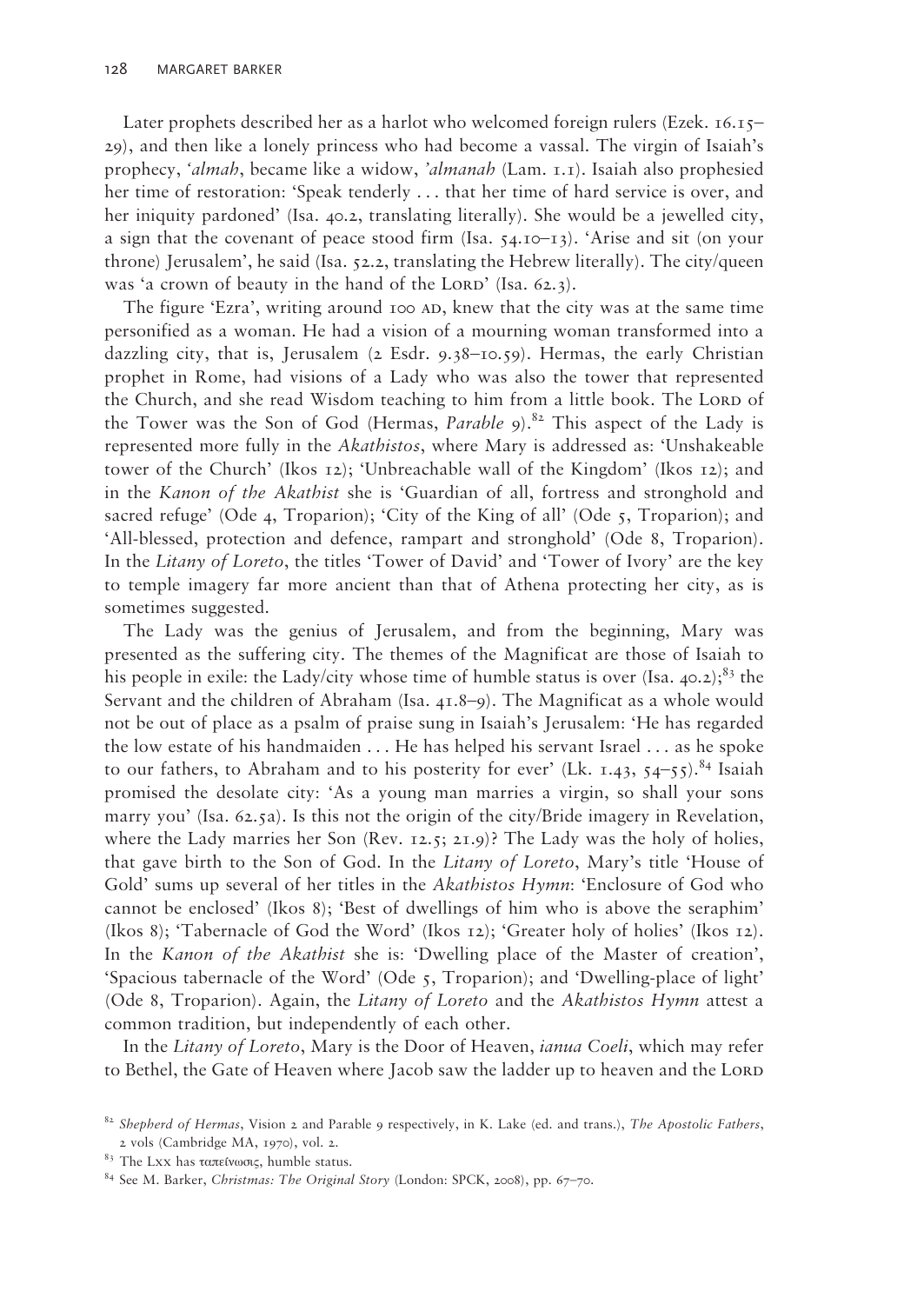Later prophets described her as a harlot who welcomed foreign rulers (Ezek. 16.15– 29), and then like a lonely princess who had become a vassal. The virgin of Isaiah's prophecy, *'almah*, became like a widow, *'almanah* (Lam. 1.1). Isaiah also prophesied her time of restoration: 'Speak tenderly . . . that her time of hard service is over, and her iniquity pardoned' (Isa. 40.2, translating literally). She would be a jewelled city, a sign that the covenant of peace stood firm (Isa.  $54.10-13$ ). 'Arise and sit (on your throne) Jerusalem', he said (Isa.  $52.2$ , translating the Hebrew literally). The city/queen was 'a crown of beauty in the hand of the LORD' (Isa. 62.3).

The figure 'Ezra', writing around 100 AD, knew that the city was at the same time personified as a woman. He had a vision of a mourning woman transformed into a dazzling city, that is, Jerusalem ( $\alpha$  Esdr. 9.38–10.59). Hermas, the early Christian prophet in Rome, had visions of a Lady who was also the tower that represented the Church, and she read Wisdom teaching to him from a little book. The LORD of the Tower was the Son of God (Hermas, *Parable* 9).<sup>82</sup> This aspect of the Lady is represented more fully in the *Akathistos*, where Mary is addressed as: 'Unshakeable tower of the Church' (Ikos 12); 'Unbreachable wall of the Kingdom' (Ikos 12); and in the *Kanon of the Akathist* she is 'Guardian of all, fortress and stronghold and sacred refuge' (Ode 4, Troparion); 'City of the King of all' (Ode  $\zeta$ , Troparion); and 'All-blessed, protection and defence, rampart and stronghold' (Ode 8, Troparion). In the *Litany of Loreto*, the titles 'Tower of David' and 'Tower of Ivory' are the key to temple imagery far more ancient than that of Athena protecting her city, as is sometimes suggested.

The Lady was the genius of Jerusalem, and from the beginning, Mary was presented as the suffering city. The themes of the Magnificat are those of Isaiah to his people in exile: the Lady/city whose time of humble status is over (Isa. 40.2);<sup>83</sup> the Servant and the children of Abraham (Isa. 41.8–9). The Magnificat as a whole would not be out of place as a psalm of praise sung in Isaiah's Jerusalem: 'He has regarded the low estate of his handmaiden . . . He has helped his servant Israel . . . as he spoke to our fathers, to Abraham and to his posterity for ever' (Lk. 1.43, 54-55).<sup>84</sup> Isaiah promised the desolate city: 'As a young man marries a virgin, so shall your sons marry you' (Isa. 62.5a). Is this not the origin of the city/Bride imagery in Revelation, where the Lady marries her Son (Rev. 12.5; 21.9)? The Lady was the holy of holies, that gave birth to the Son of God. In the *Litany of Loreto*, Mary's title 'House of Gold' sums up several of her titles in the *Akathistos Hymn*: 'Enclosure of God who cannot be enclosed' (Ikos 8); 'Best of dwellings of him who is above the seraphim' (Ikos 8); 'Tabernacle of God the Word' (Ikos 12); 'Greater holy of holies' (Ikos 12). In the *Kanon of the Akathist* she is: 'Dwelling place of the Master of creation', 'Spacious tabernacle of the Word' (Ode 5, Troparion); and 'Dwelling-place of light' (Ode 8, Troparion). Again, the *Litany of Loreto* and the *Akathistos Hymn* attest a common tradition, but independently of each other.

In the *Litany of Loreto*, Mary is the Door of Heaven, *ianua Coeli*, which may refer to Bethel, the Gate of Heaven where Jacob saw the ladder up to heaven and the LORD

<sup>82</sup>*Shepherd of Hermas*, Vision 2 and Parable 9 respectively, in K. Lake (ed. and trans.), *The Apostolic Fathers*, 2 vols (Cambridge MA, 1970), vol. 2.

<sup>83</sup> The Lxx has ταπείνωσις, humble status.

<sup>84</sup> See M. Barker, *Christmas: The Original Story* (London: SPCK, 2008), pp. 67–70.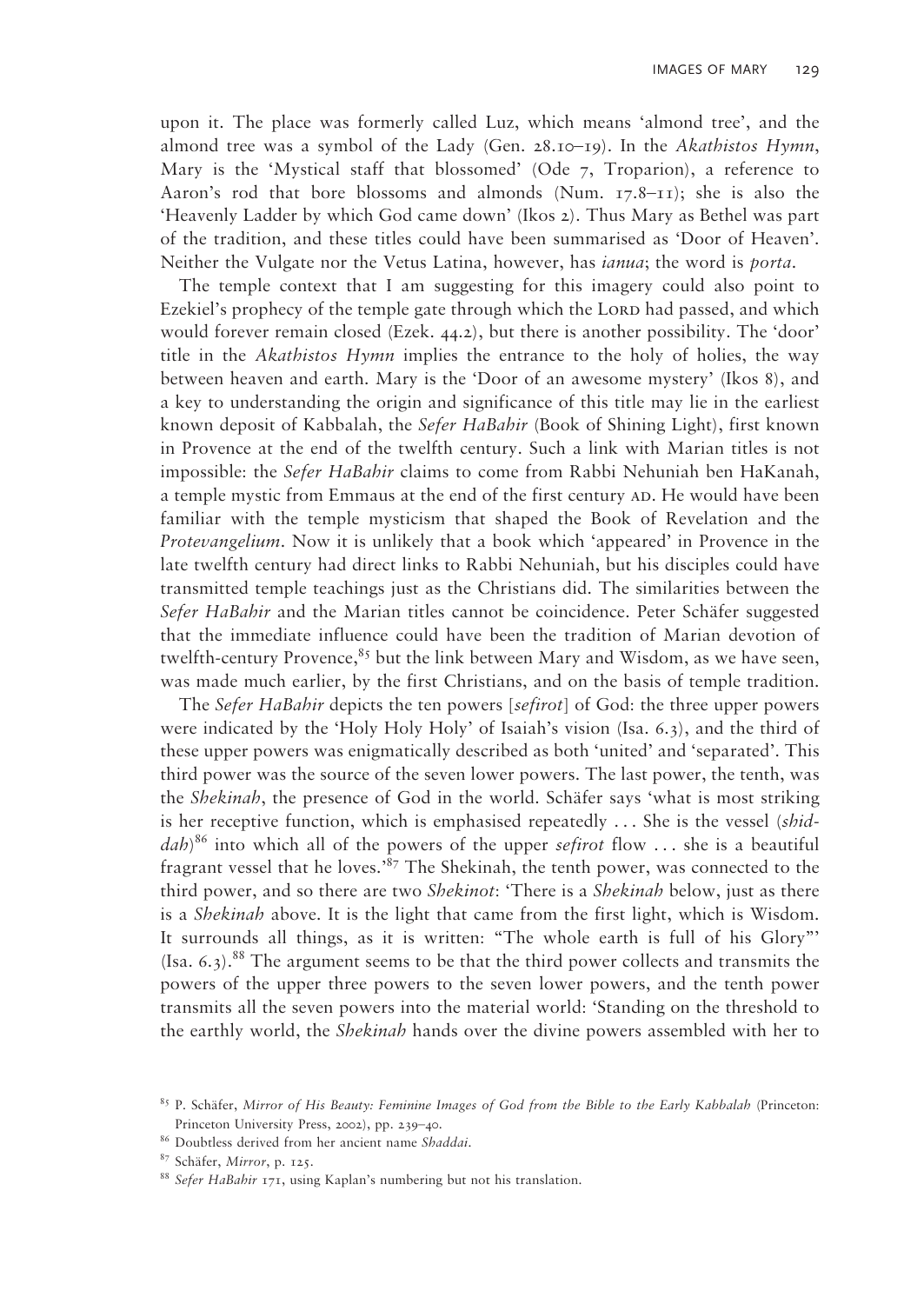upon it. The place was formerly called Luz, which means 'almond tree', and the almond tree was a symbol of the Lady (Gen. 28.10–19). In the *Akathistos Hymn*, Mary is the 'Mystical staff that blossomed' (Ode 7, Troparion), a reference to Aaron's rod that bore blossoms and almonds (Num. 17.8–11); she is also the 'Heavenly Ladder by which God came down' (Ikos 2). Thus Mary as Bethel was part of the tradition, and these titles could have been summarised as 'Door of Heaven'. Neither the Vulgate nor the Vetus Latina, however, has *ianua*; the word is *porta*.

The temple context that I am suggesting for this imagery could also point to Ezekiel's prophecy of the temple gate through which the LORD had passed, and which would forever remain closed (Ezek. 44.2), but there is another possibility. The 'door' title in the *Akathistos Hymn* implies the entrance to the holy of holies, the way between heaven and earth. Mary is the 'Door of an awesome mystery' (Ikos 8), and a key to understanding the origin and significance of this title may lie in the earliest known deposit of Kabbalah, the *Sefer HaBahir* (Book of Shining Light), first known in Provence at the end of the twelfth century. Such a link with Marian titles is not impossible: the *Sefer HaBahir* claims to come from Rabbi Nehuniah ben HaKanah, a temple mystic from Emmaus at the end of the first century AD. He would have been familiar with the temple mysticism that shaped the Book of Revelation and the *Protevangelium*. Now it is unlikely that a book which 'appeared' in Provence in the late twelfth century had direct links to Rabbi Nehuniah, but his disciples could have transmitted temple teachings just as the Christians did. The similarities between the *Sefer HaBahir* and the Marian titles cannot be coincidence. Peter Schäfer suggested that the immediate influence could have been the tradition of Marian devotion of twelfth-century Provence, $85$  but the link between Mary and Wisdom, as we have seen, was made much earlier, by the first Christians, and on the basis of temple tradition.

The *Sefer HaBahir* depicts the ten powers [*sefirot*] of God: the three upper powers were indicated by the 'Holy Holy Holy' of Isaiah's vision (Isa. 6.3), and the third of these upper powers was enigmatically described as both 'united' and 'separated'. This third power was the source of the seven lower powers. The last power, the tenth, was the *Shekinah*, the presence of God in the world. Schäfer says 'what is most striking is her receptive function, which is emphasised repeatedly . . . She is the vessel (*shiddah*) 86 into which all of the powers of the upper *sefirot* flow . . . she is a beautiful fragrant vessel that he loves.'87 The Shekinah, the tenth power, was connected to the third power, and so there are two *Shekinot*: 'There is a *Shekinah* below, just as there is a *Shekinah* above. It is the light that came from the first light, which is Wisdom. It surrounds all things, as it is written: "The whole earth is full of his Glory"'  $(Isa. 6.3).$ <sup>88</sup> The argument seems to be that the third power collects and transmits the powers of the upper three powers to the seven lower powers, and the tenth power transmits all the seven powers into the material world: 'Standing on the threshold to the earthly world, the *Shekinah* hands over the divine powers assembled with her to

<sup>85</sup> P. Schäfer, *Mirror of His Beauty: Feminine Images of God from the Bible to the Early Kabbalah* (Princeton: Princeton University Press, 2002), pp. 239–40.

<sup>86</sup> Doubtless derived from her ancient name *Shaddai*. 87 Schäfer, *Mirror*, p. 125.

<sup>88</sup>*Sefer HaBahir* 171, using Kaplan's numbering but not his translation.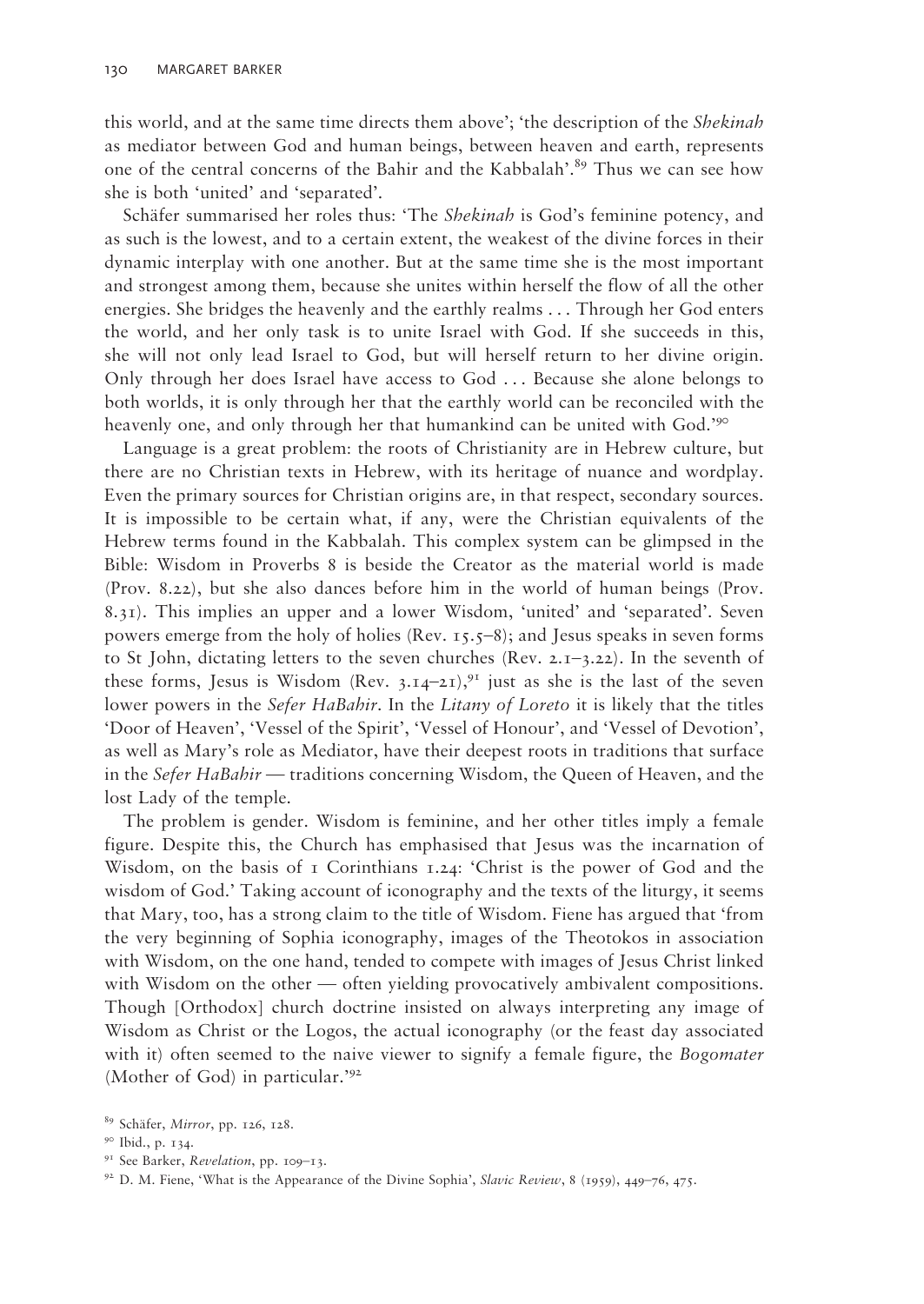this world, and at the same time directs them above'; 'the description of the *Shekinah* as mediator between God and human beings, between heaven and earth, represents one of the central concerns of the Bahir and the Kabbalah'.<sup>89</sup> Thus we can see how she is both 'united' and 'separated'.

Schäfer summarised her roles thus: 'The *Shekinah* is God's feminine potency, and as such is the lowest, and to a certain extent, the weakest of the divine forces in their dynamic interplay with one another. But at the same time she is the most important and strongest among them, because she unites within herself the flow of all the other energies. She bridges the heavenly and the earthly realms . . . Through her God enters the world, and her only task is to unite Israel with God. If she succeeds in this, she will not only lead Israel to God, but will herself return to her divine origin. Only through her does Israel have access to God . . . Because she alone belongs to both worlds, it is only through her that the earthly world can be reconciled with the heavenly one, and only through her that humankind can be united with God.'90

Language is a great problem: the roots of Christianity are in Hebrew culture, but there are no Christian texts in Hebrew, with its heritage of nuance and wordplay. Even the primary sources for Christian origins are, in that respect, secondary sources. It is impossible to be certain what, if any, were the Christian equivalents of the Hebrew terms found in the Kabbalah. This complex system can be glimpsed in the Bible: Wisdom in Proverbs 8 is beside the Creator as the material world is made (Prov. 8.22), but she also dances before him in the world of human beings (Prov. 8.31). This implies an upper and a lower Wisdom, 'united' and 'separated'. Seven powers emerge from the holy of holies (Rev. 15.5–8); and Jesus speaks in seven forms to St John, dictating letters to the seven churches (Rev.  $2.1 - 3.22$ ). In the seventh of these forms, Jesus is Wisdom (Rev. 3.14–21),<sup>91</sup> just as she is the last of the seven lower powers in the *Sefer HaBahir*. In the *Litany of Loreto* it is likely that the titles 'Door of Heaven', 'Vessel of the Spirit', 'Vessel of Honour', and 'Vessel of Devotion', as well as Mary's role as Mediator, have their deepest roots in traditions that surface in the *Sefer HaBahir* — traditions concerning Wisdom, the Queen of Heaven, and the lost Lady of the temple.

The problem is gender. Wisdom is feminine, and her other titles imply a female figure. Despite this, the Church has emphasised that Jesus was the incarnation of Wisdom, on the basis of  $\bar{1}$  Corinthians 1.24: 'Christ is the power of God and the wisdom of God.' Taking account of iconography and the texts of the liturgy, it seems that Mary, too, has a strong claim to the title of Wisdom. Fiene has argued that 'from the very beginning of Sophia iconography, images of the Theotokos in association with Wisdom, on the one hand, tended to compete with images of Jesus Christ linked with Wisdom on the other — often yielding provocatively ambivalent compositions. Though [Orthodox] church doctrine insisted on always interpreting any image of Wisdom as Christ or the Logos, the actual iconography (or the feast day associated with it) often seemed to the naive viewer to signify a female figure, the *Bogomater* (Mother of God) in particular.'92

<sup>89</sup> Schäfer, *Mirror*, pp. 126, 128.

<sup>90</sup> Ibid., p. 134.

<sup>91</sup> See Barker, *Revelation*, pp. 109–13.

<sup>92</sup> D. M. Fiene, 'What is the Appearance of the Divine Sophia', *Slavic Review*, 8 (1959), 449–76, 475.